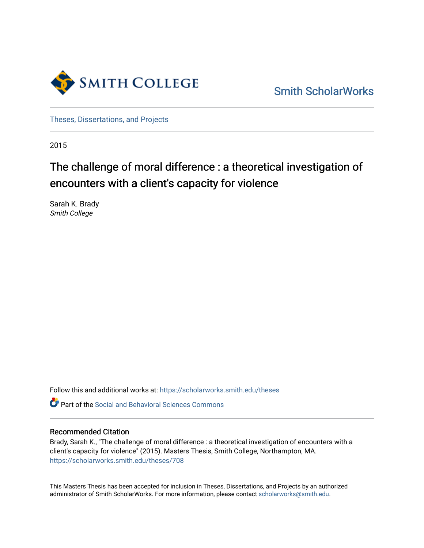

[Smith ScholarWorks](https://scholarworks.smith.edu/) 

[Theses, Dissertations, and Projects](https://scholarworks.smith.edu/theses) 

2015

# The challenge of moral difference : a theoretical investigation of encounters with a client's capacity for violence

Sarah K. Brady Smith College

Follow this and additional works at: [https://scholarworks.smith.edu/theses](https://scholarworks.smith.edu/theses?utm_source=scholarworks.smith.edu%2Ftheses%2F708&utm_medium=PDF&utm_campaign=PDFCoverPages) 

**C** Part of the Social and Behavioral Sciences Commons

## Recommended Citation

Brady, Sarah K., "The challenge of moral difference : a theoretical investigation of encounters with a client's capacity for violence" (2015). Masters Thesis, Smith College, Northampton, MA. [https://scholarworks.smith.edu/theses/708](https://scholarworks.smith.edu/theses/708?utm_source=scholarworks.smith.edu%2Ftheses%2F708&utm_medium=PDF&utm_campaign=PDFCoverPages) 

This Masters Thesis has been accepted for inclusion in Theses, Dissertations, and Projects by an authorized administrator of Smith ScholarWorks. For more information, please contact [scholarworks@smith.edu](mailto:scholarworks@smith.edu).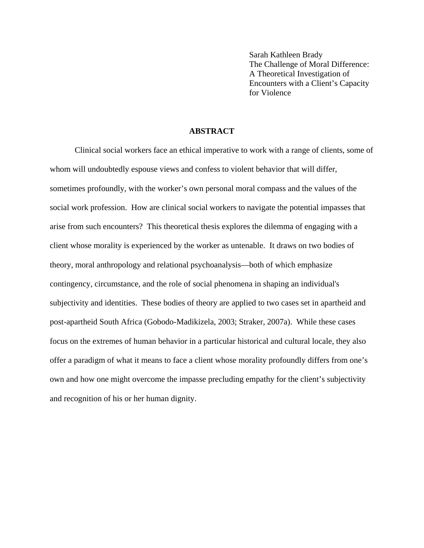Sarah Kathleen Brady The Challenge of Moral Difference: A Theoretical Investigation of Encounters with a Client's Capacity for Violence

# **ABSTRACT**

Clinical social workers face an ethical imperative to work with a range of clients, some of whom will undoubtedly espouse views and confess to violent behavior that will differ, sometimes profoundly, with the worker's own personal moral compass and the values of the social work profession. How are clinical social workers to navigate the potential impasses that arise from such encounters? This theoretical thesis explores the dilemma of engaging with a client whose morality is experienced by the worker as untenable. It draws on two bodies of theory, moral anthropology and relational psychoanalysis—both of which emphasize contingency, circumstance, and the role of social phenomena in shaping an individual's subjectivity and identities. These bodies of theory are applied to two cases set in apartheid and post-apartheid South Africa (Gobodo-Madikizela, 2003; Straker, 2007a). While these cases focus on the extremes of human behavior in a particular historical and cultural locale, they also offer a paradigm of what it means to face a client whose morality profoundly differs from one's own and how one might overcome the impasse precluding empathy for the client's subjectivity and recognition of his or her human dignity.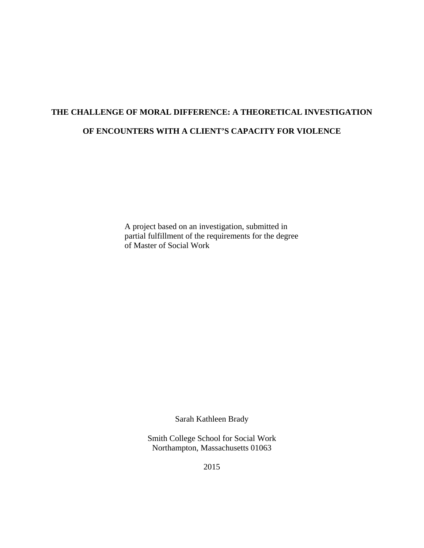# **THE CHALLENGE OF MORAL DIFFERENCE: A THEORETICAL INVESTIGATION OF ENCOUNTERS WITH A CLIENT'S CAPACITY FOR VIOLENCE**

A project based on an investigation, submitted in partial fulfillment of the requirements for the degree of Master of Social Work

Sarah Kathleen Brady

Smith College School for Social Work Northampton, Massachusetts 01063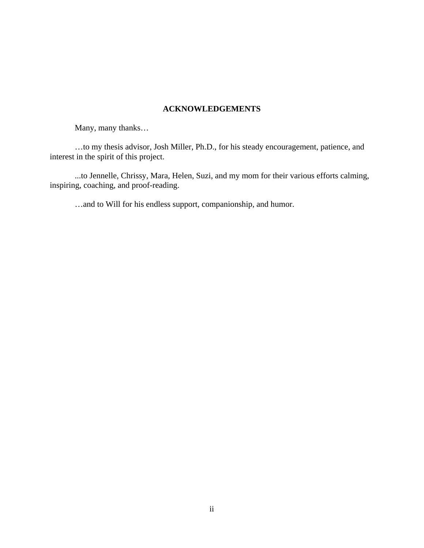# **ACKNOWLEDGEMENTS**

Many, many thanks…

…to my thesis advisor, Josh Miller, Ph.D., for his steady encouragement, patience, and interest in the spirit of this project.

...to Jennelle, Chrissy, Mara, Helen, Suzi, and my mom for their various efforts calming, inspiring, coaching, and proof-reading.

…and to Will for his endless support, companionship, and humor.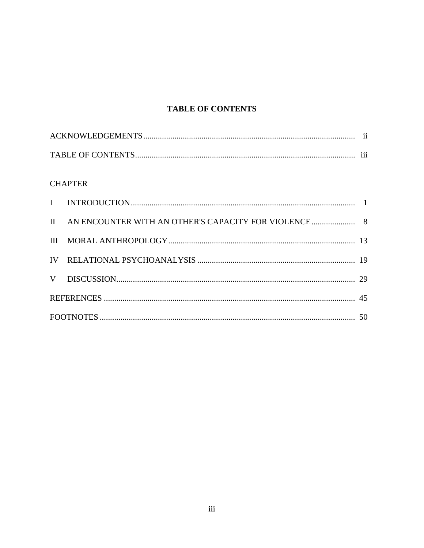# **TABLE OF CONTENTS**

# **CHAPTER**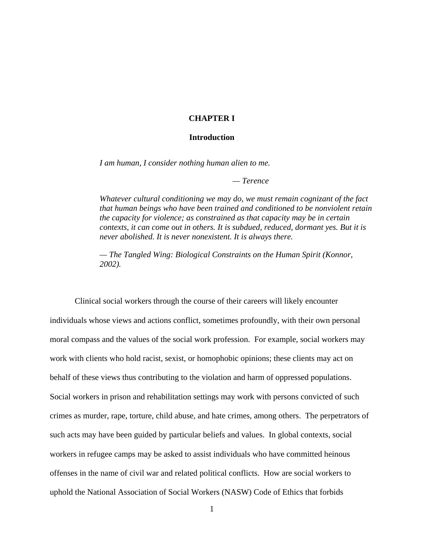# **CHAPTER I**

# **Introduction**

*I am human, I consider nothing human alien to me.*

*— Terence* 

*Whatever cultural conditioning we may do, we must remain cognizant of the fact that human beings who have been trained and conditioned to be nonviolent retain the capacity for violence; as constrained as that capacity may be in certain contexts, it can come out in others. It is subdued, reduced, dormant yes. But it is never abolished. It is never nonexistent. It is always there.* 

*— The Tangled Wing: Biological Constraints on the Human Spirit (Konnor, 2002).*

Clinical social workers through the course of their careers will likely encounter individuals whose views and actions conflict, sometimes profoundly, with their own personal moral compass and the values of the social work profession. For example, social workers may work with clients who hold racist, sexist, or homophobic opinions; these clients may act on behalf of these views thus contributing to the violation and harm of oppressed populations. Social workers in prison and rehabilitation settings may work with persons convicted of such crimes as murder, rape, torture, child abuse, and hate crimes, among others. The perpetrators of such acts may have been guided by particular beliefs and values. In global contexts, social workers in refugee camps may be asked to assist individuals who have committed heinous offenses in the name of civil war and related political conflicts. How are social workers to uphold the National Association of Social Workers (NASW) Code of Ethics that forbids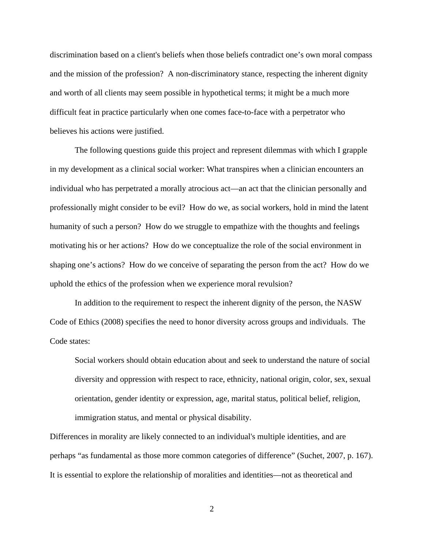discrimination based on a client's beliefs when those beliefs contradict one's own moral compass and the mission of the profession? A non-discriminatory stance, respecting the inherent dignity and worth of all clients may seem possible in hypothetical terms; it might be a much more difficult feat in practice particularly when one comes face-to-face with a perpetrator who believes his actions were justified.

The following questions guide this project and represent dilemmas with which I grapple in my development as a clinical social worker: What transpires when a clinician encounters an individual who has perpetrated a morally atrocious act—an act that the clinician personally and professionally might consider to be evil? How do we, as social workers, hold in mind the latent humanity of such a person? How do we struggle to empathize with the thoughts and feelings motivating his or her actions? How do we conceptualize the role of the social environment in shaping one's actions? How do we conceive of separating the person from the act? How do we uphold the ethics of the profession when we experience moral revulsion?

In addition to the requirement to respect the inherent dignity of the person, the NASW Code of Ethics (2008) specifies the need to honor diversity across groups and individuals. The Code states:

Social workers should obtain education about and seek to understand the nature of social diversity and oppression with respect to race, ethnicity, national origin, color, sex, sexual orientation, gender identity or expression, age, marital status, political belief, religion, immigration status, and mental or physical disability.

Differences in morality are likely connected to an individual's multiple identities, and are perhaps "as fundamental as those more common categories of difference" (Suchet, 2007, p. 167). It is essential to explore the relationship of moralities and identities—not as theoretical and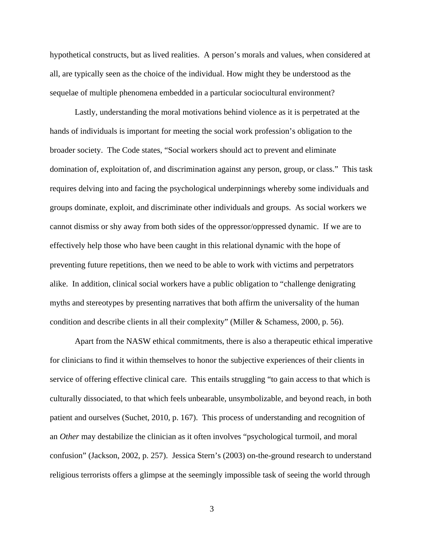hypothetical constructs, but as lived realities. A person's morals and values, when considered at all, are typically seen as the choice of the individual. How might they be understood as the sequelae of multiple phenomena embedded in a particular sociocultural environment?

Lastly, understanding the moral motivations behind violence as it is perpetrated at the hands of individuals is important for meeting the social work profession's obligation to the broader society. The Code states, "Social workers should act to prevent and eliminate domination of, exploitation of, and discrimination against any person, group, or class." This task requires delving into and facing the psychological underpinnings whereby some individuals and groups dominate, exploit, and discriminate other individuals and groups. As social workers we cannot dismiss or shy away from both sides of the oppressor/oppressed dynamic. If we are to effectively help those who have been caught in this relational dynamic with the hope of preventing future repetitions, then we need to be able to work with victims and perpetrators alike. In addition, clinical social workers have a public obligation to "challenge denigrating myths and stereotypes by presenting narratives that both affirm the universality of the human condition and describe clients in all their complexity" (Miller & Schamess, 2000, p. 56).

Apart from the NASW ethical commitments, there is also a therapeutic ethical imperative for clinicians to find it within themselves to honor the subjective experiences of their clients in service of offering effective clinical care. This entails struggling "to gain access to that which is culturally dissociated, to that which feels unbearable, unsymbolizable, and beyond reach, in both patient and ourselves (Suchet, 2010, p. 167). This process of understanding and recognition of an *Other* may destabilize the clinician as it often involves "psychological turmoil, and moral confusion" (Jackson, 2002, p. 257). Jessica Stern's (2003) on-the-ground research to understand religious terrorists offers a glimpse at the seemingly impossible task of seeing the world through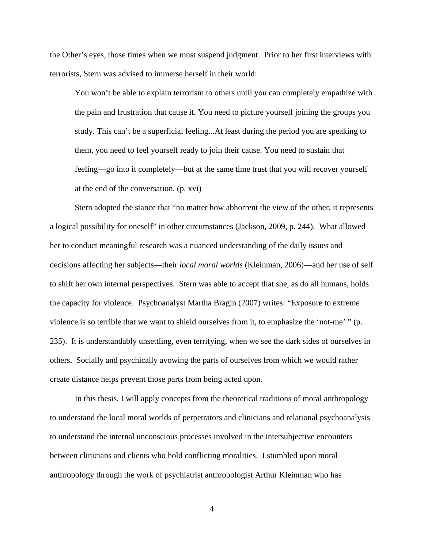the Other's eyes, those times when we must suspend judgment. Prior to her first interviews with terrorists, Stern was advised to immerse herself in their world:

You won't be able to explain terrorism to others until you can completely empathize with the pain and frustration that cause it. You need to picture yourself joining the groups you study. This can't be a superficial feeling...At least during the period you are speaking to them, you need to feel yourself ready to join their cause. You need to sustain that feeling—go into it completely—but at the same time trust that you will recover yourself at the end of the conversation. (p. xvi)

Stern adopted the stance that "no matter how abhorrent the view of the other, it represents a logical possibility for oneself" in other circumstances (Jackson, 2009, p. 244). What allowed her to conduct meaningful research was a nuanced understanding of the daily issues and decisions affecting her subjects—their *local moral worlds* (Kleinman, 2006)—and her use of self to shift her own internal perspectives. Stern was able to accept that she, as do all humans, holds the capacity for violence. Psychoanalyst Martha Bragin (2007) writes: "Exposure to extreme violence is so terrible that we want to shield ourselves from it, to emphasize the 'not-me' " (p. 235). It is understandably unsettling, even terrifying, when we see the dark sides of ourselves in others. Socially and psychically avowing the parts of ourselves from which we would rather create distance helps prevent those parts from being acted upon.

In this thesis, I will apply concepts from the theoretical traditions of moral anthropology to understand the local moral worlds of perpetrators and clinicians and relational psychoanalysis to understand the internal unconscious processes involved in the intersubjective encounters between clinicians and clients who hold conflicting moralities. I stumbled upon moral anthropology through the work of psychiatrist anthropologist Arthur Kleinman who has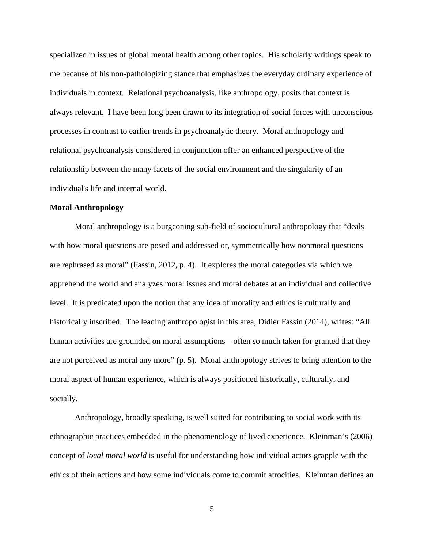specialized in issues of global mental health among other topics. His scholarly writings speak to me because of his non-pathologizing stance that emphasizes the everyday ordinary experience of individuals in context. Relational psychoanalysis, like anthropology, posits that context is always relevant. I have been long been drawn to its integration of social forces with unconscious processes in contrast to earlier trends in psychoanalytic theory. Moral anthropology and relational psychoanalysis considered in conjunction offer an enhanced perspective of the relationship between the many facets of the social environment and the singularity of an individual's life and internal world.

#### **Moral Anthropology**

Moral anthropology is a burgeoning sub-field of sociocultural anthropology that "deals with how moral questions are posed and addressed or, symmetrically how nonmoral questions are rephrased as moral" (Fassin, 2012, p. 4). It explores the moral categories via which we apprehend the world and analyzes moral issues and moral debates at an individual and collective level. It is predicated upon the notion that any idea of morality and ethics is culturally and historically inscribed. The leading anthropologist in this area, Didier Fassin (2014), writes: "All human activities are grounded on moral assumptions—often so much taken for granted that they are not perceived as moral any more" (p. 5). Moral anthropology strives to bring attention to the moral aspect of human experience, which is always positioned historically, culturally, and socially.

Anthropology, broadly speaking, is well suited for contributing to social work with its ethnographic practices embedded in the phenomenology of lived experience. Kleinman's (2006) concept of *local moral world* is useful for understanding how individual actors grapple with the ethics of their actions and how some individuals come to commit atrocities. Kleinman defines an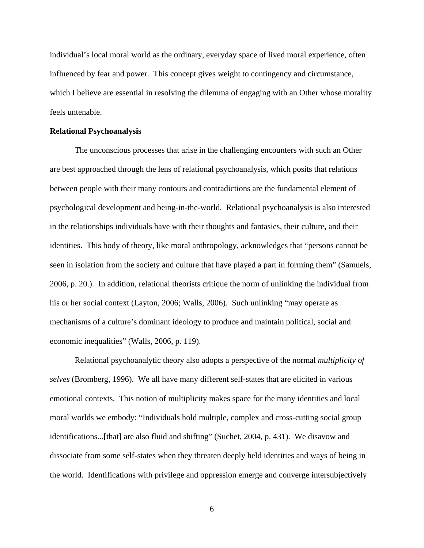individual's local moral world as the ordinary, everyday space of lived moral experience, often influenced by fear and power. This concept gives weight to contingency and circumstance, which I believe are essential in resolving the dilemma of engaging with an Other whose morality feels untenable.

#### **Relational Psychoanalysis**

The unconscious processes that arise in the challenging encounters with such an Other are best approached through the lens of relational psychoanalysis, which posits that relations between people with their many contours and contradictions are the fundamental element of psychological development and being-in-the-world. Relational psychoanalysis is also interested in the relationships individuals have with their thoughts and fantasies, their culture, and their identities. This body of theory, like moral anthropology, acknowledges that "persons cannot be seen in isolation from the society and culture that have played a part in forming them" (Samuels, 2006, p. 20.). In addition, relational theorists critique the norm of unlinking the individual from his or her social context (Layton, 2006; Walls, 2006). Such unlinking "may operate as mechanisms of a culture's dominant ideology to produce and maintain political, social and economic inequalities" (Walls, 2006, p. 119).

Relational psychoanalytic theory also adopts a perspective of the normal *multiplicity of selves* (Bromberg, 1996). We all have many different self-states that are elicited in various emotional contexts. This notion of multiplicity makes space for the many identities and local moral worlds we embody: "Individuals hold multiple, complex and cross-cutting social group identifications...[that] are also fluid and shifting" (Suchet, 2004, p. 431). We disavow and dissociate from some self-states when they threaten deeply held identities and ways of being in the world. Identifications with privilege and oppression emerge and converge intersubjectively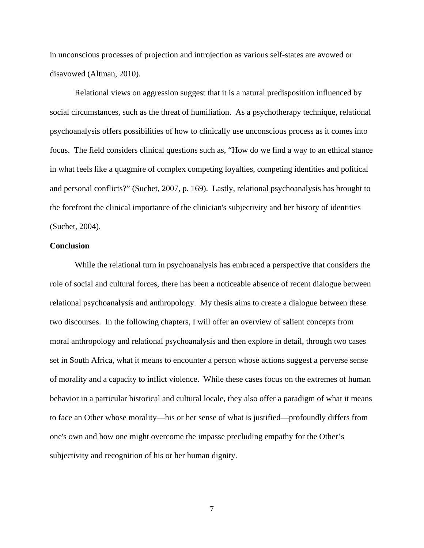in unconscious processes of projection and introjection as various self-states are avowed or disavowed (Altman, 2010).

Relational views on aggression suggest that it is a natural predisposition influenced by social circumstances, such as the threat of humiliation. As a psychotherapy technique, relational psychoanalysis offers possibilities of how to clinically use unconscious process as it comes into focus. The field considers clinical questions such as, "How do we find a way to an ethical stance in what feels like a quagmire of complex competing loyalties, competing identities and political and personal conflicts?" (Suchet, 2007, p. 169). Lastly, relational psychoanalysis has brought to the forefront the clinical importance of the clinician's subjectivity and her history of identities (Suchet, 2004).

#### **Conclusion**

While the relational turn in psychoanalysis has embraced a perspective that considers the role of social and cultural forces, there has been a noticeable absence of recent dialogue between relational psychoanalysis and anthropology. My thesis aims to create a dialogue between these two discourses. In the following chapters, I will offer an overview of salient concepts from moral anthropology and relational psychoanalysis and then explore in detail, through two cases set in South Africa, what it means to encounter a person whose actions suggest a perverse sense of morality and a capacity to inflict violence. While these cases focus on the extremes of human behavior in a particular historical and cultural locale, they also offer a paradigm of what it means to face an Other whose morality—his or her sense of what is justified—profoundly differs from one's own and how one might overcome the impasse precluding empathy for the Other's subjectivity and recognition of his or her human dignity.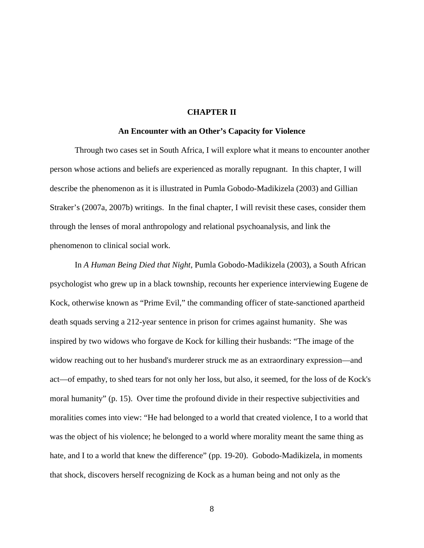#### **CHAPTER II**

## **An Encounter with an Other's Capacity for Violence**

Through two cases set in South Africa, I will explore what it means to encounter another person whose actions and beliefs are experienced as morally repugnant. In this chapter, I will describe the phenomenon as it is illustrated in Pumla Gobodo-Madikizela (2003) and Gillian Straker's (2007a, 2007b) writings. In the final chapter, I will revisit these cases, consider them through the lenses of moral anthropology and relational psychoanalysis, and link the phenomenon to clinical social work.

In *A Human Being Died that Night*, Pumla Gobodo-Madikizela (2003), a South African psychologist who grew up in a black township, recounts her experience interviewing Eugene de Kock, otherwise known as "Prime Evil," the commanding officer of state-sanctioned apartheid death squads serving a 212-year sentence in prison for crimes against humanity. She was inspired by two widows who forgave de Kock for killing their husbands: "The image of the widow reaching out to her husband's murderer struck me as an extraordinary expression—and act—of empathy, to shed tears for not only her loss, but also, it seemed, for the loss of de Kock's moral humanity" (p. 15). Over time the profound divide in their respective subjectivities and moralities comes into view: "He had belonged to a world that created violence, I to a world that was the object of his violence; he belonged to a world where morality meant the same thing as hate, and I to a world that knew the difference" (pp. 19-20). Gobodo-Madikizela, in moments that shock, discovers herself recognizing de Kock as a human being and not only as the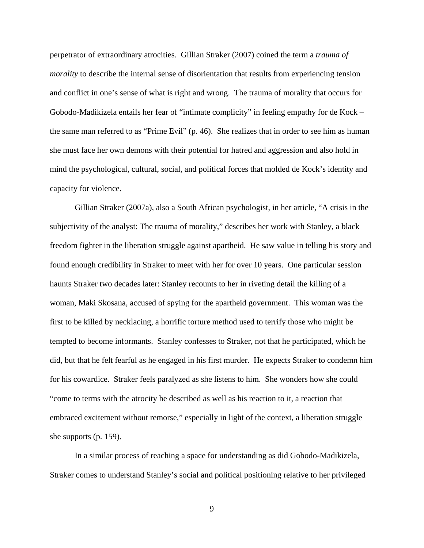perpetrator of extraordinary atrocities. Gillian Straker (2007) coined the term a *trauma of morality* to describe the internal sense of disorientation that results from experiencing tension and conflict in one's sense of what is right and wrong. The trauma of morality that occurs for Gobodo-Madikizela entails her fear of "intimate complicity" in feeling empathy for de Kock – the same man referred to as "Prime Evil" (p. 46). She realizes that in order to see him as human she must face her own demons with their potential for hatred and aggression and also hold in mind the psychological, cultural, social, and political forces that molded de Kock's identity and capacity for violence.

Gillian Straker (2007a), also a South African psychologist, in her article, "A crisis in the subjectivity of the analyst: The trauma of morality," describes her work with Stanley, a black freedom fighter in the liberation struggle against apartheid. He saw value in telling his story and found enough credibility in Straker to meet with her for over 10 years. One particular session haunts Straker two decades later: Stanley recounts to her in riveting detail the killing of a woman, Maki Skosana, accused of spying for the apartheid government. This woman was the first to be killed by necklacing, a horrific torture method used to terrify those who might be tempted to become informants. Stanley confesses to Straker, not that he participated, which he did, but that he felt fearful as he engaged in his first murder. He expects Straker to condemn him for his cowardice. Straker feels paralyzed as she listens to him. She wonders how she could "come to terms with the atrocity he described as well as his reaction to it, a reaction that embraced excitement without remorse," especially in light of the context, a liberation struggle she supports (p. 159).

In a similar process of reaching a space for understanding as did Gobodo-Madikizela, Straker comes to understand Stanley's social and political positioning relative to her privileged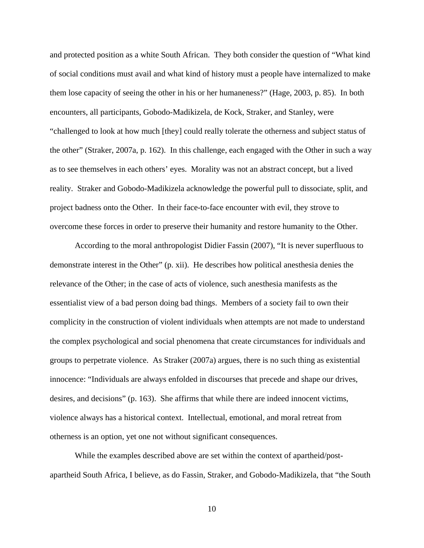and protected position as a white South African. They both consider the question of "What kind of social conditions must avail and what kind of history must a people have internalized to make them lose capacity of seeing the other in his or her humaneness?" (Hage, 2003, p. 85). In both encounters, all participants, Gobodo-Madikizela, de Kock, Straker, and Stanley, were "challenged to look at how much [they] could really tolerate the otherness and subject status of the other" (Straker, 2007a, p. 162). In this challenge, each engaged with the Other in such a way as to see themselves in each others' eyes. Morality was not an abstract concept, but a lived reality. Straker and Gobodo-Madikizela acknowledge the powerful pull to dissociate, split, and project badness onto the Other. In their face-to-face encounter with evil, they strove to overcome these forces in order to preserve their humanity and restore humanity to the Other.

According to the moral anthropologist Didier Fassin (2007), "It is never superfluous to demonstrate interest in the Other" (p. xii). He describes how political anesthesia denies the relevance of the Other; in the case of acts of violence, such anesthesia manifests as the essentialist view of a bad person doing bad things. Members of a society fail to own their complicity in the construction of violent individuals when attempts are not made to understand the complex psychological and social phenomena that create circumstances for individuals and groups to perpetrate violence. As Straker (2007a) argues, there is no such thing as existential innocence: "Individuals are always enfolded in discourses that precede and shape our drives, desires, and decisions" (p. 163). She affirms that while there are indeed innocent victims, violence always has a historical context. Intellectual, emotional, and moral retreat from otherness is an option, yet one not without significant consequences.

While the examples described above are set within the context of apartheid/postapartheid South Africa, I believe, as do Fassin, Straker, and Gobodo-Madikizela, that "the South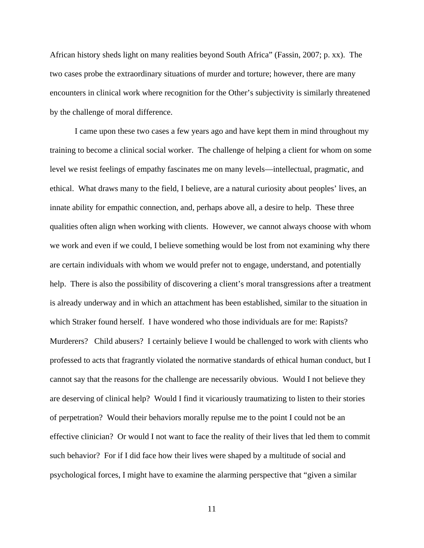African history sheds light on many realities beyond South Africa" (Fassin, 2007; p. xx). The two cases probe the extraordinary situations of murder and torture; however, there are many encounters in clinical work where recognition for the Other's subjectivity is similarly threatened by the challenge of moral difference.

I came upon these two cases a few years ago and have kept them in mind throughout my training to become a clinical social worker. The challenge of helping a client for whom on some level we resist feelings of empathy fascinates me on many levels—intellectual, pragmatic, and ethical. What draws many to the field, I believe, are a natural curiosity about peoples' lives, an innate ability for empathic connection, and, perhaps above all, a desire to help. These three qualities often align when working with clients. However, we cannot always choose with whom we work and even if we could, I believe something would be lost from not examining why there are certain individuals with whom we would prefer not to engage, understand, and potentially help. There is also the possibility of discovering a client's moral transgressions after a treatment is already underway and in which an attachment has been established, similar to the situation in which Straker found herself. I have wondered who those individuals are for me: Rapists? Murderers? Child abusers? I certainly believe I would be challenged to work with clients who professed to acts that fragrantly violated the normative standards of ethical human conduct, but I cannot say that the reasons for the challenge are necessarily obvious. Would I not believe they are deserving of clinical help? Would I find it vicariously traumatizing to listen to their stories of perpetration? Would their behaviors morally repulse me to the point I could not be an effective clinician? Or would I not want to face the reality of their lives that led them to commit such behavior? For if I did face how their lives were shaped by a multitude of social and psychological forces, I might have to examine the alarming perspective that "given a similar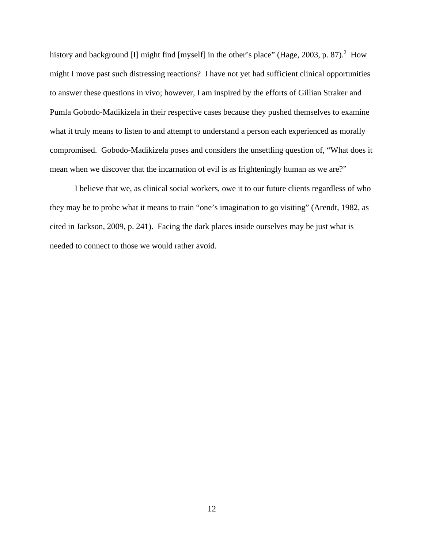history and background [I] might find [myself] in the other's place" (Hage, 2003, p. 87). <sup>2</sup> How might I move past such distressing reactions? I have not yet had sufficient clinical opportunities to answer these questions in vivo; however, I am inspired by the efforts of Gillian Straker and Pumla Gobodo-Madikizela in their respective cases because they pushed themselves to examine what it truly means to listen to and attempt to understand a person each experienced as morally compromised. Gobodo-Madikizela poses and considers the unsettling question of, "What does it mean when we discover that the incarnation of evil is as frighteningly human as we are?"

I believe that we, as clinical social workers, owe it to our future clients regardless of who they may be to probe what it means to train "one's imagination to go visiting" (Arendt, 1982, as cited in Jackson, 2009, p. 241). Facing the dark places inside ourselves may be just what is needed to connect to those we would rather avoid.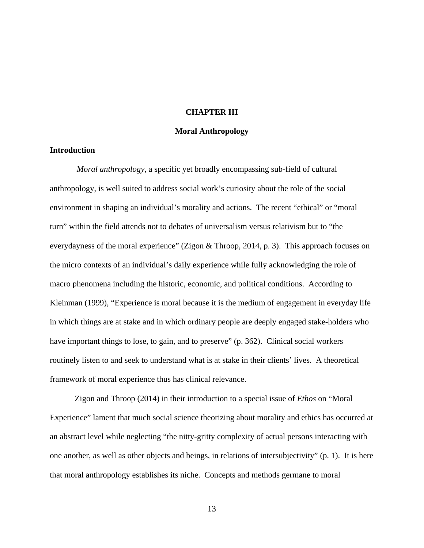#### **CHAPTER III**

#### **Moral Anthropology**

# **Introduction**

*Moral anthropology*, a specific yet broadly encompassing sub-field of cultural anthropology, is well suited to address social work's curiosity about the role of the social environment in shaping an individual's morality and actions. The recent "ethical" or "moral turn" within the field attends not to debates of universalism versus relativism but to "the everydayness of the moral experience" (Zigon & Throop, 2014, p. 3). This approach focuses on the micro contexts of an individual's daily experience while fully acknowledging the role of macro phenomena including the historic, economic, and political conditions. According to Kleinman (1999), "Experience is moral because it is the medium of engagement in everyday life in which things are at stake and in which ordinary people are deeply engaged stake-holders who have important things to lose, to gain, and to preserve" (p. 362). Clinical social workers routinely listen to and seek to understand what is at stake in their clients' lives. A theoretical framework of moral experience thus has clinical relevance.

Zigon and Throop (2014) in their introduction to a special issue of *Ethos* on "Moral Experience" lament that much social science theorizing about morality and ethics has occurred at an abstract level while neglecting "the nitty-gritty complexity of actual persons interacting with one another, as well as other objects and beings, in relations of intersubjectivity" (p. 1). It is here that moral anthropology establishes its niche. Concepts and methods germane to moral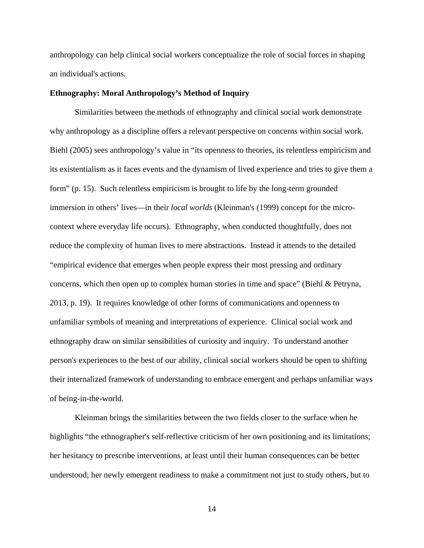anthropology can help clinical social workers conceptualize the role of social forces in shaping an individual's actions.

#### **Ethnography: Moral Anthropology's Method of Inquiry**

Similarities between the methods of ethnography and clinical social work demonstrate why anthropology as a discipline offers a relevant perspective on concerns within social work. Biehl (2005) sees anthropology's value in "its openness to theories, its relentless empiricism and its existentialism as it faces events and the dynamism of lived experience and tries to give them a form" (p. 15). Such relentless empiricism is brought to life by the long-term grounded immersion in others' lives—in their *local worlds* (Kleinman's (1999) concept for the microcontext where everyday life occurs). Ethnography, when conducted thoughtfully, does not reduce the complexity of human lives to mere abstractions. Instead it attends to the detailed "empirical evidence that emerges when people express their most pressing and ordinary concerns, which then open up to complex human stories in time and space" (Biehl & Petryna, 2013, p. 19). It requires knowledge of other forms of communications and openness to unfamiliar symbols of meaning and interpretations of experience. Clinical social work and ethnography draw on similar sensibilities of curiosity and inquiry. To understand another person's experiences to the best of our ability, clinical social workers should be open to shifting their internalized framework of understanding to embrace emergent and perhaps unfamiliar ways of being-in-the-world.

Kleinman brings the similarities between the two fields closer to the surface when he highlights "the ethnographer's self-reflective criticism of her own positioning and its limitations; her hesitancy to prescribe interventions, at least until their human consequences can be better understood; her newly emergent readiness to make a commitment not just to study others, but to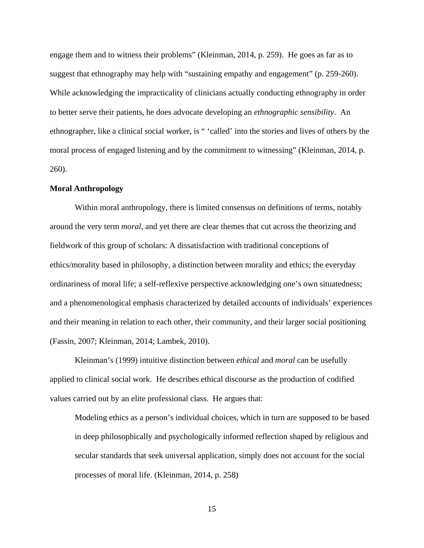engage them and to witness their problems" (Kleinman, 2014, p. 259). He goes as far as to suggest that ethnography may help with "sustaining empathy and engagement" (p. 259-260). While acknowledging the impracticality of clinicians actually conducting ethnography in order to better serve their patients, he does advocate developing an *ethnographic sensibility*. An ethnographer, like a clinical social worker, is " 'called' into the stories and lives of others by the moral process of engaged listening and by the commitment to witnessing" (Kleinman, 2014, p. 260).

#### **Moral Anthropology**

Within moral anthropology, there is limited consensus on definitions of terms, notably around the very term *moral*, and yet there are clear themes that cut across the theorizing and fieldwork of this group of scholars: A dissatisfaction with traditional conceptions of ethics/morality based in philosophy, a distinction between morality and ethics; the everyday ordinariness of moral life; a self-reflexive perspective acknowledging one's own situatedness; and a phenomenological emphasis characterized by detailed accounts of individuals' experiences and their meaning in relation to each other, their community, and their larger social positioning (Fassin, 2007; Kleinman, 2014; Lambek, 2010).

Kleinman's (1999) intuitive distinction between *ethical* and *moral* can be usefully applied to clinical social work. He describes ethical discourse as the production of codified values carried out by an elite professional class. He argues that:

Modeling ethics as a person's individual choices, which in turn are supposed to be based in deep philosophically and psychologically informed reflection shaped by religious and secular standards that seek universal application, simply does not account for the social processes of moral life. (Kleinman, 2014, p. 258)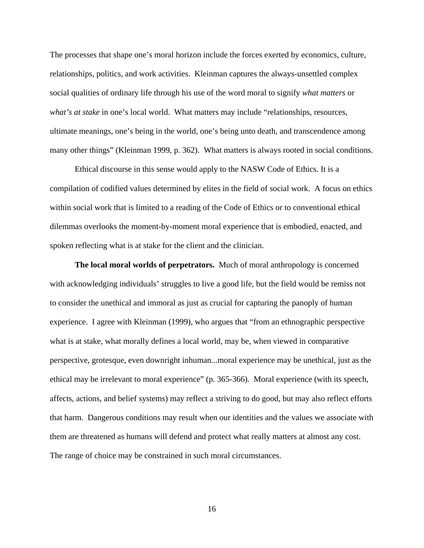The processes that shape one's moral horizon include the forces exerted by economics, culture, relationships, politics, and work activities. Kleinman captures the always-unsettled complex social qualities of ordinary life through his use of the word moral to signify *what matters* or *what's at stake* in one's local world. What matters may include "relationships, resources, ultimate meanings, one's being in the world, one's being unto death, and transcendence among many other things" (Kleinman 1999, p. 362). What matters is always rooted in social conditions.

Ethical discourse in this sense would apply to the NASW Code of Ethics. It is a compilation of codified values determined by elites in the field of social work. A focus on ethics within social work that is limited to a reading of the Code of Ethics or to conventional ethical dilemmas overlooks the moment-by-moment moral experience that is embodied, enacted, and spoken reflecting what is at stake for the client and the clinician.

**The local moral worlds of perpetrators.** Much of moral anthropology is concerned with acknowledging individuals' struggles to live a good life, but the field would be remiss not to consider the unethical and immoral as just as crucial for capturing the panoply of human experience. I agree with Kleinman (1999), who argues that "from an ethnographic perspective what is at stake, what morally defines a local world, may be, when viewed in comparative perspective, grotesque, even downright inhuman...moral experience may be unethical, just as the ethical may be irrelevant to moral experience" (p. 365-366). Moral experience (with its speech, affects, actions, and belief systems) may reflect a striving to do good, but may also reflect efforts that harm. Dangerous conditions may result when our identities and the values we associate with them are threatened as humans will defend and protect what really matters at almost any cost. The range of choice may be constrained in such moral circumstances.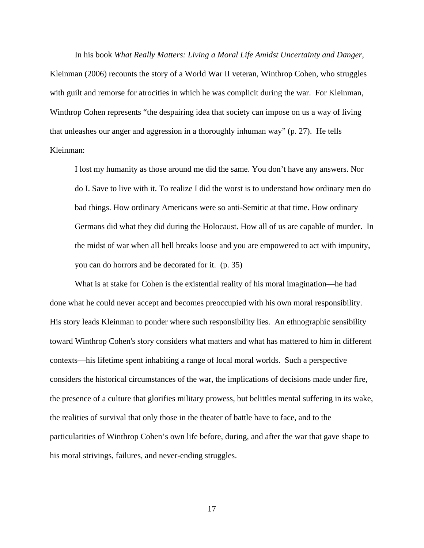In his book *What Really Matters: Living a Moral Life Amidst Uncertainty and Danger*, Kleinman (2006) recounts the story of a World War II veteran, Winthrop Cohen, who struggles with guilt and remorse for atrocities in which he was complicit during the war. For Kleinman, Winthrop Cohen represents "the despairing idea that society can impose on us a way of living that unleashes our anger and aggression in a thoroughly inhuman way" (p. 27). He tells Kleinman:

I lost my humanity as those around me did the same. You don't have any answers. Nor do I. Save to live with it. To realize I did the worst is to understand how ordinary men do bad things. How ordinary Americans were so anti-Semitic at that time. How ordinary Germans did what they did during the Holocaust. How all of us are capable of murder. In the midst of war when all hell breaks loose and you are empowered to act with impunity, you can do horrors and be decorated for it. (p. 35)

What is at stake for Cohen is the existential reality of his moral imagination—he had done what he could never accept and becomes preoccupied with his own moral responsibility. His story leads Kleinman to ponder where such responsibility lies. An ethnographic sensibility toward Winthrop Cohen's story considers what matters and what has mattered to him in different contexts—his lifetime spent inhabiting a range of local moral worlds. Such a perspective considers the historical circumstances of the war, the implications of decisions made under fire, the presence of a culture that glorifies military prowess, but belittles mental suffering in its wake, the realities of survival that only those in the theater of battle have to face, and to the particularities of Winthrop Cohen's own life before, during, and after the war that gave shape to his moral strivings, failures, and never-ending struggles.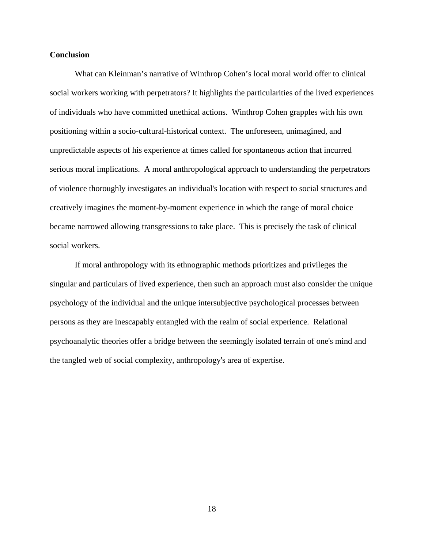#### **Conclusion**

What can Kleinman's narrative of Winthrop Cohen's local moral world offer to clinical social workers working with perpetrators? It highlights the particularities of the lived experiences of individuals who have committed unethical actions. Winthrop Cohen grapples with his own positioning within a socio-cultural-historical context. The unforeseen, unimagined, and unpredictable aspects of his experience at times called for spontaneous action that incurred serious moral implications. A moral anthropological approach to understanding the perpetrators of violence thoroughly investigates an individual's location with respect to social structures and creatively imagines the moment-by-moment experience in which the range of moral choice became narrowed allowing transgressions to take place. This is precisely the task of clinical social workers.

If moral anthropology with its ethnographic methods prioritizes and privileges the singular and particulars of lived experience, then such an approach must also consider the unique psychology of the individual and the unique intersubjective psychological processes between persons as they are inescapably entangled with the realm of social experience. Relational psychoanalytic theories offer a bridge between the seemingly isolated terrain of one's mind and the tangled web of social complexity, anthropology's area of expertise.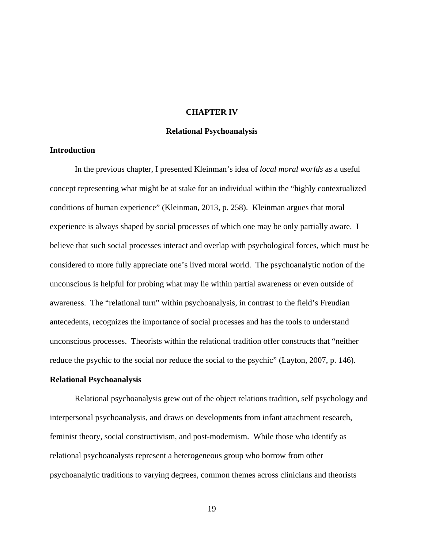#### **CHAPTER IV**

#### **Relational Psychoanalysis**

# **Introduction**

In the previous chapter, I presented Kleinman's idea of *local moral worlds* as a useful concept representing what might be at stake for an individual within the "highly contextualized conditions of human experience" (Kleinman, 2013, p. 258). Kleinman argues that moral experience is always shaped by social processes of which one may be only partially aware. I believe that such social processes interact and overlap with psychological forces, which must be considered to more fully appreciate one's lived moral world. The psychoanalytic notion of the unconscious is helpful for probing what may lie within partial awareness or even outside of awareness. The "relational turn" within psychoanalysis, in contrast to the field's Freudian antecedents, recognizes the importance of social processes and has the tools to understand unconscious processes. Theorists within the relational tradition offer constructs that "neither reduce the psychic to the social nor reduce the social to the psychic" (Layton, 2007, p. 146).

#### **Relational Psychoanalysis**

Relational psychoanalysis grew out of the object relations tradition, self psychology and interpersonal psychoanalysis, and draws on developments from infant attachment research, feminist theory, social constructivism, and post-modernism. While those who identify as relational psychoanalysts represent a heterogeneous group who borrow from other psychoanalytic traditions to varying degrees, common themes across clinicians and theorists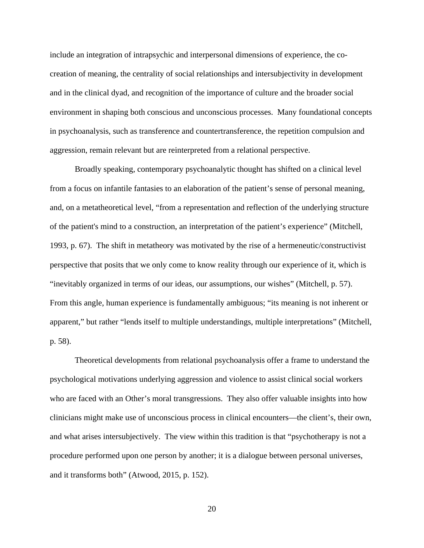include an integration of intrapsychic and interpersonal dimensions of experience, the cocreation of meaning, the centrality of social relationships and intersubjectivity in development and in the clinical dyad, and recognition of the importance of culture and the broader social environment in shaping both conscious and unconscious processes. Many foundational concepts in psychoanalysis, such as transference and countertransference, the repetition compulsion and aggression, remain relevant but are reinterpreted from a relational perspective.

Broadly speaking, contemporary psychoanalytic thought has shifted on a clinical level from a focus on infantile fantasies to an elaboration of the patient's sense of personal meaning, and, on a metatheoretical level, "from a representation and reflection of the underlying structure of the patient's mind to a construction, an interpretation of the patient's experience" (Mitchell, 1993, p. 67). The shift in metatheory was motivated by the rise of a hermeneutic/constructivist perspective that posits that we only come to know reality through our experience of it, which is "inevitably organized in terms of our ideas, our assumptions, our wishes" (Mitchell, p. 57). From this angle, human experience is fundamentally ambiguous; "its meaning is not inherent or apparent," but rather "lends itself to multiple understandings, multiple interpretations" (Mitchell, p. 58).

Theoretical developments from relational psychoanalysis offer a frame to understand the psychological motivations underlying aggression and violence to assist clinical social workers who are faced with an Other's moral transgressions. They also offer valuable insights into how clinicians might make use of unconscious process in clinical encounters—the client's, their own, and what arises intersubjectively. The view within this tradition is that "psychotherapy is not a procedure performed upon one person by another; it is a dialogue between personal universes, and it transforms both" (Atwood, 2015, p. 152).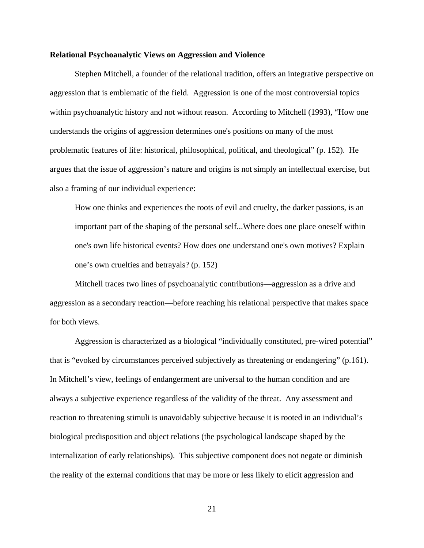## **Relational Psychoanalytic Views on Aggression and Violence**

Stephen Mitchell, a founder of the relational tradition, offers an integrative perspective on aggression that is emblematic of the field. Aggression is one of the most controversial topics within psychoanalytic history and not without reason. According to Mitchell (1993), "How one understands the origins of aggression determines one's positions on many of the most problematic features of life: historical, philosophical, political, and theological" (p. 152). He argues that the issue of aggression's nature and origins is not simply an intellectual exercise, but also a framing of our individual experience:

How one thinks and experiences the roots of evil and cruelty, the darker passions, is an important part of the shaping of the personal self...Where does one place oneself within one's own life historical events? How does one understand one's own motives? Explain one's own cruelties and betrayals? (p. 152)

Mitchell traces two lines of psychoanalytic contributions—aggression as a drive and aggression as a secondary reaction—before reaching his relational perspective that makes space for both views.

Aggression is characterized as a biological "individually constituted, pre-wired potential" that is "evoked by circumstances perceived subjectively as threatening or endangering" (p.161). In Mitchell's view, feelings of endangerment are universal to the human condition and are always a subjective experience regardless of the validity of the threat. Any assessment and reaction to threatening stimuli is unavoidably subjective because it is rooted in an individual's biological predisposition and object relations (the psychological landscape shaped by the internalization of early relationships). This subjective component does not negate or diminish the reality of the external conditions that may be more or less likely to elicit aggression and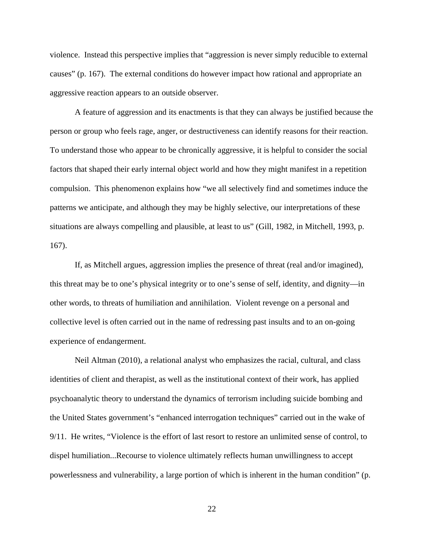violence. Instead this perspective implies that "aggression is never simply reducible to external causes" (p. 167). The external conditions do however impact how rational and appropriate an aggressive reaction appears to an outside observer.

A feature of aggression and its enactments is that they can always be justified because the person or group who feels rage, anger, or destructiveness can identify reasons for their reaction. To understand those who appear to be chronically aggressive, it is helpful to consider the social factors that shaped their early internal object world and how they might manifest in a repetition compulsion. This phenomenon explains how "we all selectively find and sometimes induce the patterns we anticipate, and although they may be highly selective, our interpretations of these situations are always compelling and plausible, at least to us" (Gill, 1982, in Mitchell, 1993, p. 167).

If, as Mitchell argues, aggression implies the presence of threat (real and/or imagined), this threat may be to one's physical integrity or to one's sense of self, identity, and dignity—in other words, to threats of humiliation and annihilation. Violent revenge on a personal and collective level is often carried out in the name of redressing past insults and to an on-going experience of endangerment.

Neil Altman (2010), a relational analyst who emphasizes the racial, cultural, and class identities of client and therapist, as well as the institutional context of their work, has applied psychoanalytic theory to understand the dynamics of terrorism including suicide bombing and the United States government's "enhanced interrogation techniques" carried out in the wake of 9/11. He writes, "Violence is the effort of last resort to restore an unlimited sense of control, to dispel humiliation...Recourse to violence ultimately reflects human unwillingness to accept powerlessness and vulnerability, a large portion of which is inherent in the human condition" (p.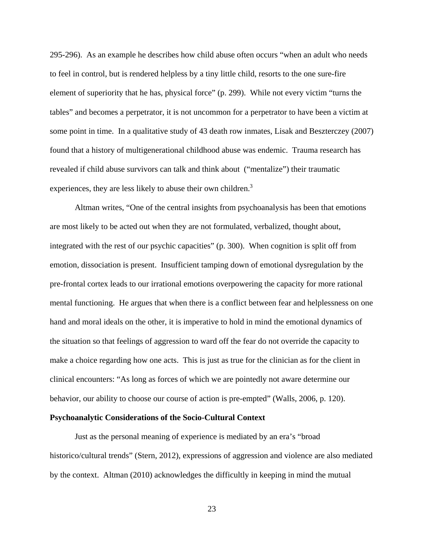295-296). As an example he describes how child abuse often occurs "when an adult who needs to feel in control, but is rendered helpless by a tiny little child, resorts to the one sure-fire element of superiority that he has, physical force" (p. 299). While not every victim "turns the tables" and becomes a perpetrator, it is not uncommon for a perpetrator to have been a victim at some point in time. In a qualitative study of 43 death row inmates, Lisak and Beszterczey (2007) found that a history of multigenerational childhood abuse was endemic. Trauma research has revealed if child abuse survivors can talk and think about ("mentalize") their traumatic experiences, they are less likely to abuse their own children.<sup>3</sup>

Altman writes, "One of the central insights from psychoanalysis has been that emotions are most likely to be acted out when they are not formulated, verbalized, thought about, integrated with the rest of our psychic capacities" (p. 300). When cognition is split off from emotion, dissociation is present. Insufficient tamping down of emotional dysregulation by the pre-frontal cortex leads to our irrational emotions overpowering the capacity for more rational mental functioning. He argues that when there is a conflict between fear and helplessness on one hand and moral ideals on the other, it is imperative to hold in mind the emotional dynamics of the situation so that feelings of aggression to ward off the fear do not override the capacity to make a choice regarding how one acts. This is just as true for the clinician as for the client in clinical encounters: "As long as forces of which we are pointedly not aware determine our behavior, our ability to choose our course of action is pre-empted" (Walls, 2006, p. 120).

#### **Psychoanalytic Considerations of the Socio-Cultural Context**

Just as the personal meaning of experience is mediated by an era's "broad historico/cultural trends" (Stern, 2012), expressions of aggression and violence are also mediated by the context. Altman (2010) acknowledges the difficultly in keeping in mind the mutual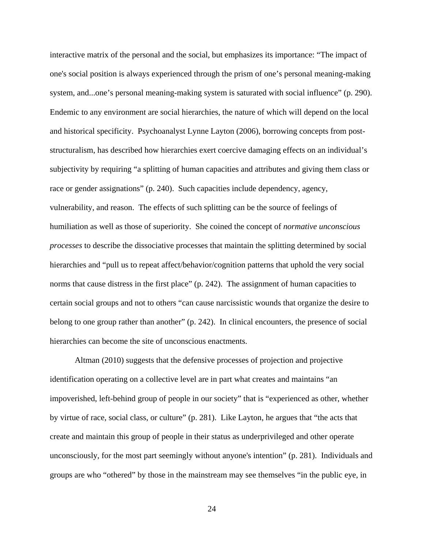interactive matrix of the personal and the social, but emphasizes its importance: "The impact of one's social position is always experienced through the prism of one's personal meaning-making system, and...one's personal meaning-making system is saturated with social influence" (p. 290). Endemic to any environment are social hierarchies, the nature of which will depend on the local and historical specificity. Psychoanalyst Lynne Layton (2006), borrowing concepts from poststructuralism, has described how hierarchies exert coercive damaging effects on an individual's subjectivity by requiring "a splitting of human capacities and attributes and giving them class or race or gender assignations" (p. 240). Such capacities include dependency, agency, vulnerability, and reason. The effects of such splitting can be the source of feelings of humiliation as well as those of superiority. She coined the concept of *normative unconscious processes* to describe the dissociative processes that maintain the splitting determined by social hierarchies and "pull us to repeat affect/behavior/cognition patterns that uphold the very social norms that cause distress in the first place" (p. 242). The assignment of human capacities to certain social groups and not to others "can cause narcissistic wounds that organize the desire to belong to one group rather than another" (p. 242). In clinical encounters, the presence of social hierarchies can become the site of unconscious enactments.

Altman (2010) suggests that the defensive processes of projection and projective identification operating on a collective level are in part what creates and maintains "an impoverished, left-behind group of people in our society" that is "experienced as other, whether by virtue of race, social class, or culture" (p. 281). Like Layton, he argues that "the acts that create and maintain this group of people in their status as underprivileged and other operate unconsciously, for the most part seemingly without anyone's intention" (p. 281). Individuals and groups are who "othered" by those in the mainstream may see themselves "in the public eye, in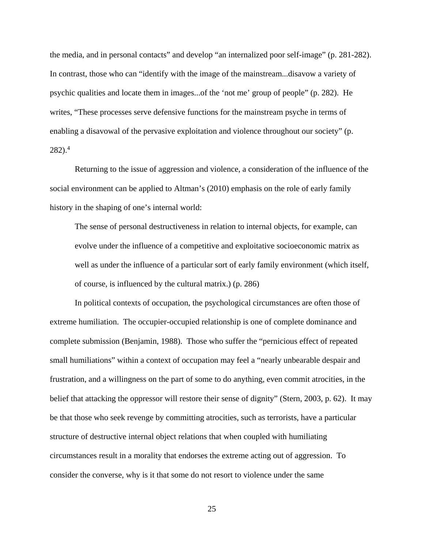the media, and in personal contacts" and develop "an internalized poor self-image" (p. 281-282). In contrast, those who can "identify with the image of the mainstream...disavow a variety of psychic qualities and locate them in images...of the 'not me' group of people" (p. 282). He writes, "These processes serve defensive functions for the mainstream psyche in terms of enabling a disavowal of the pervasive exploitation and violence throughout our society" (p.  $282$ ).<sup>4</sup>

Returning to the issue of aggression and violence, a consideration of the influence of the social environment can be applied to Altman's (2010) emphasis on the role of early family history in the shaping of one's internal world:

The sense of personal destructiveness in relation to internal objects, for example, can evolve under the influence of a competitive and exploitative socioeconomic matrix as well as under the influence of a particular sort of early family environment (which itself, of course, is influenced by the cultural matrix.) (p. 286)

In political contexts of occupation, the psychological circumstances are often those of extreme humiliation. The occupier-occupied relationship is one of complete dominance and complete submission (Benjamin, 1988). Those who suffer the "pernicious effect of repeated small humiliations" within a context of occupation may feel a "nearly unbearable despair and frustration, and a willingness on the part of some to do anything, even commit atrocities, in the belief that attacking the oppressor will restore their sense of dignity" (Stern, 2003, p. 62). It may be that those who seek revenge by committing atrocities, such as terrorists, have a particular structure of destructive internal object relations that when coupled with humiliating circumstances result in a morality that endorses the extreme acting out of aggression. To consider the converse, why is it that some do not resort to violence under the same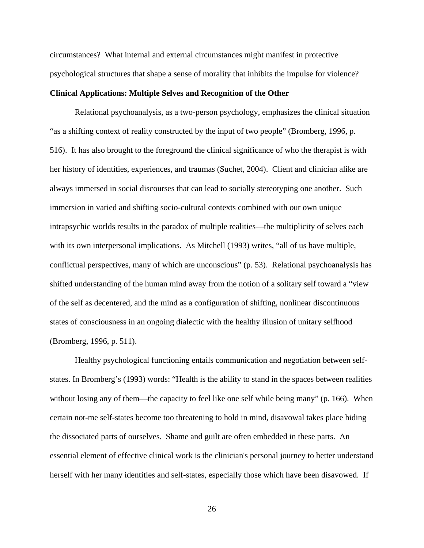circumstances? What internal and external circumstances might manifest in protective psychological structures that shape a sense of morality that inhibits the impulse for violence?

#### **Clinical Applications: Multiple Selves and Recognition of the Other**

Relational psychoanalysis, as a two-person psychology, emphasizes the clinical situation "as a shifting context of reality constructed by the input of two people" (Bromberg, 1996, p. 516). It has also brought to the foreground the clinical significance of who the therapist is with her history of identities, experiences, and traumas (Suchet, 2004). Client and clinician alike are always immersed in social discourses that can lead to socially stereotyping one another. Such immersion in varied and shifting socio-cultural contexts combined with our own unique intrapsychic worlds results in the paradox of multiple realities—the multiplicity of selves each with its own interpersonal implications. As Mitchell (1993) writes, "all of us have multiple, conflictual perspectives, many of which are unconscious" (p. 53). Relational psychoanalysis has shifted understanding of the human mind away from the notion of a solitary self toward a "view of the self as decentered, and the mind as a configuration of shifting, nonlinear discontinuous states of consciousness in an ongoing dialectic with the healthy illusion of unitary selfhood (Bromberg, 1996, p. 511).

Healthy psychological functioning entails communication and negotiation between selfstates. In Bromberg's (1993) words: "Health is the ability to stand in the spaces between realities without losing any of them—the capacity to feel like one self while being many" (p. 166). When certain not-me self-states become too threatening to hold in mind, disavowal takes place hiding the dissociated parts of ourselves. Shame and guilt are often embedded in these parts. An essential element of effective clinical work is the clinician's personal journey to better understand herself with her many identities and self-states, especially those which have been disavowed. If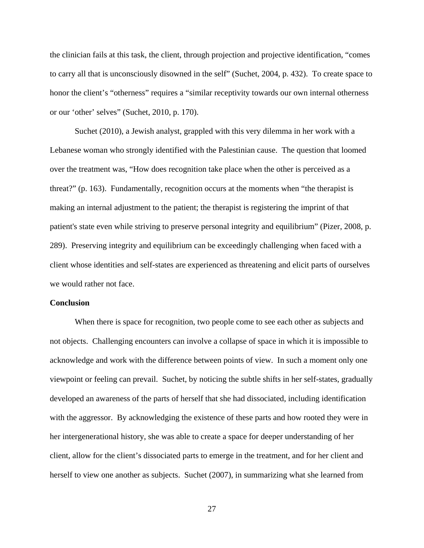the clinician fails at this task, the client, through projection and projective identification, "comes to carry all that is unconsciously disowned in the self" (Suchet, 2004, p. 432). To create space to honor the client's "otherness" requires a "similar receptivity towards our own internal otherness or our 'other' selves" (Suchet, 2010, p. 170).

Suchet (2010), a Jewish analyst, grappled with this very dilemma in her work with a Lebanese woman who strongly identified with the Palestinian cause. The question that loomed over the treatment was, "How does recognition take place when the other is perceived as a threat?" (p. 163). Fundamentally, recognition occurs at the moments when "the therapist is making an internal adjustment to the patient; the therapist is registering the imprint of that patient's state even while striving to preserve personal integrity and equilibrium" (Pizer, 2008, p. 289). Preserving integrity and equilibrium can be exceedingly challenging when faced with a client whose identities and self-states are experienced as threatening and elicit parts of ourselves we would rather not face.

#### **Conclusion**

When there is space for recognition, two people come to see each other as subjects and not objects. Challenging encounters can involve a collapse of space in which it is impossible to acknowledge and work with the difference between points of view. In such a moment only one viewpoint or feeling can prevail. Suchet, by noticing the subtle shifts in her self-states, gradually developed an awareness of the parts of herself that she had dissociated, including identification with the aggressor. By acknowledging the existence of these parts and how rooted they were in her intergenerational history, she was able to create a space for deeper understanding of her client, allow for the client's dissociated parts to emerge in the treatment, and for her client and herself to view one another as subjects. Suchet (2007), in summarizing what she learned from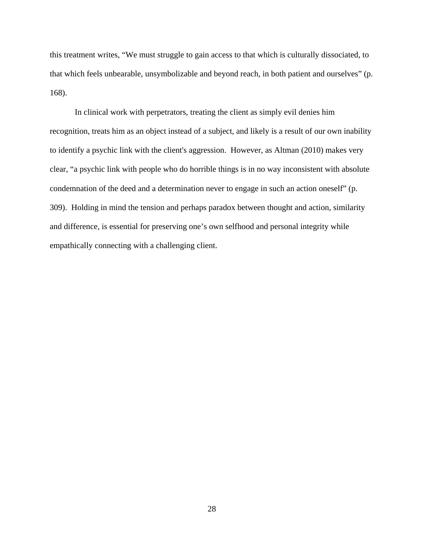this treatment writes, "We must struggle to gain access to that which is culturally dissociated, to that which feels unbearable, unsymbolizable and beyond reach, in both patient and ourselves" (p. 168).

In clinical work with perpetrators, treating the client as simply evil denies him recognition, treats him as an object instead of a subject, and likely is a result of our own inability to identify a psychic link with the client's aggression. However, as Altman (2010) makes very clear, "a psychic link with people who do horrible things is in no way inconsistent with absolute condemnation of the deed and a determination never to engage in such an action oneself" (p. 309). Holding in mind the tension and perhaps paradox between thought and action, similarity and difference, is essential for preserving one's own selfhood and personal integrity while empathically connecting with a challenging client.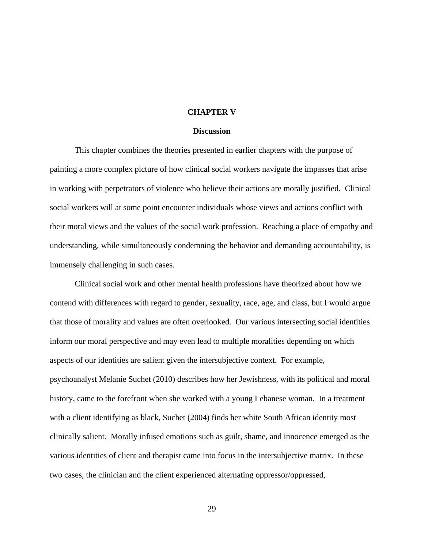#### **CHAPTER V**

#### **Discussion**

This chapter combines the theories presented in earlier chapters with the purpose of painting a more complex picture of how clinical social workers navigate the impasses that arise in working with perpetrators of violence who believe their actions are morally justified. Clinical social workers will at some point encounter individuals whose views and actions conflict with their moral views and the values of the social work profession. Reaching a place of empathy and understanding, while simultaneously condemning the behavior and demanding accountability, is immensely challenging in such cases.

Clinical social work and other mental health professions have theorized about how we contend with differences with regard to gender, sexuality, race, age, and class, but I would argue that those of morality and values are often overlooked. Our various intersecting social identities inform our moral perspective and may even lead to multiple moralities depending on which aspects of our identities are salient given the intersubjective context. For example, psychoanalyst Melanie Suchet (2010) describes how her Jewishness, with its political and moral history, came to the forefront when she worked with a young Lebanese woman. In a treatment with a client identifying as black, Suchet (2004) finds her white South African identity most clinically salient. Morally infused emotions such as guilt, shame, and innocence emerged as the various identities of client and therapist came into focus in the intersubjective matrix. In these two cases, the clinician and the client experienced alternating oppressor/oppressed,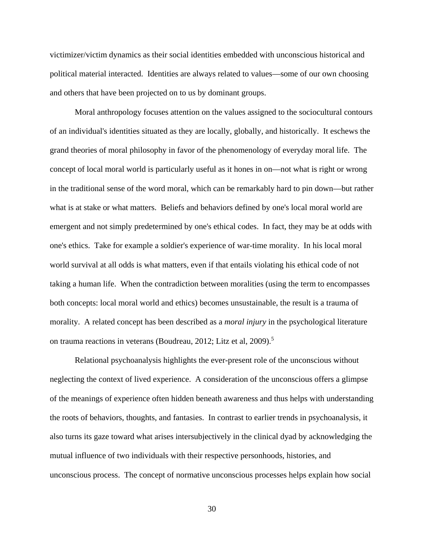victimizer/victim dynamics as their social identities embedded with unconscious historical and political material interacted. Identities are always related to values—some of our own choosing and others that have been projected on to us by dominant groups.

Moral anthropology focuses attention on the values assigned to the sociocultural contours of an individual's identities situated as they are locally, globally, and historically. It eschews the grand theories of moral philosophy in favor of the phenomenology of everyday moral life. The concept of local moral world is particularly useful as it hones in on—not what is right or wrong in the traditional sense of the word moral, which can be remarkably hard to pin down—but rather what is at stake or what matters. Beliefs and behaviors defined by one's local moral world are emergent and not simply predetermined by one's ethical codes.In fact, they may be at odds with one's ethics. Take for example a soldier's experience of war-time morality. In his local moral world survival at all odds is what matters, even if that entails violating his ethical code of not taking a human life. When the contradiction between moralities (using the term to encompasses both concepts: local moral world and ethics) becomes unsustainable, the result is a trauma of morality. A related concept has been described as a *moral injury* in the psychological literature on trauma reactions in veterans (Boudreau, 2012; Litz et al, 2009).<sup>5</sup>

Relational psychoanalysis highlights the ever-present role of the unconscious without neglecting the context of lived experience. A consideration of the unconscious offers a glimpse of the meanings of experience often hidden beneath awareness and thus helps with understanding the roots of behaviors, thoughts, and fantasies. In contrast to earlier trends in psychoanalysis, it also turns its gaze toward what arises intersubjectively in the clinical dyad by acknowledging the mutual influence of two individuals with their respective personhoods, histories, and unconscious process. The concept of normative unconscious processes helps explain how social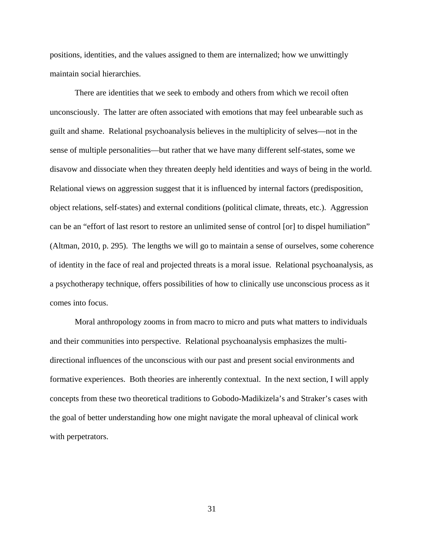positions, identities, and the values assigned to them are internalized; how we unwittingly maintain social hierarchies.

There are identities that we seek to embody and others from which we recoil often unconsciously. The latter are often associated with emotions that may feel unbearable such as guilt and shame. Relational psychoanalysis believes in the multiplicity of selves—not in the sense of multiple personalities—but rather that we have many different self-states, some we disavow and dissociate when they threaten deeply held identities and ways of being in the world. Relational views on aggression suggest that it is influenced by internal factors (predisposition, object relations, self-states) and external conditions (political climate, threats, etc.). Aggression can be an "effort of last resort to restore an unlimited sense of control [or] to dispel humiliation" (Altman, 2010, p. 295). The lengths we will go to maintain a sense of ourselves, some coherence of identity in the face of real and projected threats is a moral issue. Relational psychoanalysis, as a psychotherapy technique, offers possibilities of how to clinically use unconscious process as it comes into focus.

Moral anthropology zooms in from macro to micro and puts what matters to individuals and their communities into perspective. Relational psychoanalysis emphasizes the multidirectional influences of the unconscious with our past and present social environments and formative experiences. Both theories are inherently contextual. In the next section, I will apply concepts from these two theoretical traditions to Gobodo-Madikizela's and Straker's cases with the goal of better understanding how one might navigate the moral upheaval of clinical work with perpetrators.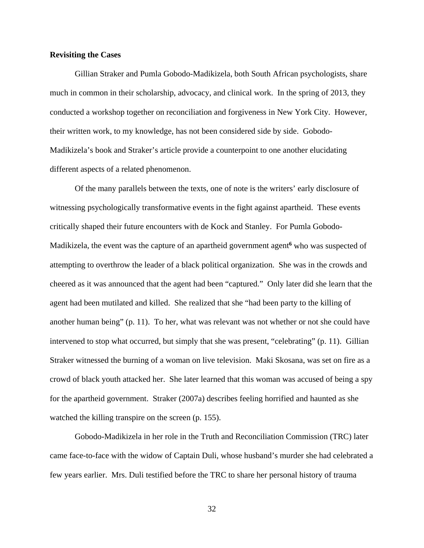#### **Revisiting the Cases**

Gillian Straker and Pumla Gobodo-Madikizela, both South African psychologists, share much in common in their scholarship, advocacy, and clinical work. In the spring of 2013, they conducted a workshop together on reconciliation and forgiveness in New York City. However, their written work, to my knowledge, has not been considered side by side. Gobodo-Madikizela's book and Straker's article provide a counterpoint to one another elucidating different aspects of a related phenomenon.

Of the many parallels between the texts, one of note is the writers' early disclosure of witnessing psychologically transformative events in the fight against apartheid. These events critically shaped their future encounters with de Kock and Stanley. For Pumla Gobodo-Madikizela, the event was the capture of an apartheid government agent**<sup>6</sup>** who was suspected of attempting to overthrow the leader of a black political organization. She was in the crowds and cheered as it was announced that the agent had been "captured." Only later did she learn that the agent had been mutilated and killed. She realized that she "had been party to the killing of another human being" (p. 11). To her, what was relevant was not whether or not she could have intervened to stop what occurred, but simply that she was present, "celebrating" (p. 11). Gillian Straker witnessed the burning of a woman on live television. Maki Skosana, was set on fire as a crowd of black youth attacked her. She later learned that this woman was accused of being a spy for the apartheid government. Straker (2007a) describes feeling horrified and haunted as she watched the killing transpire on the screen (p. 155).

Gobodo-Madikizela in her role in the Truth and Reconciliation Commission (TRC) later came face-to-face with the widow of Captain Duli, whose husband's murder she had celebrated a few years earlier. Mrs. Duli testified before the TRC to share her personal history of trauma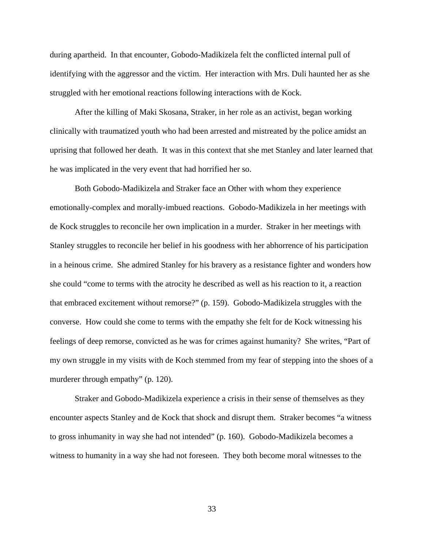during apartheid. In that encounter, Gobodo-Madikizela felt the conflicted internal pull of identifying with the aggressor and the victim. Her interaction with Mrs. Duli haunted her as she struggled with her emotional reactions following interactions with de Kock.

After the killing of Maki Skosana, Straker, in her role as an activist, began working clinically with traumatized youth who had been arrested and mistreated by the police amidst an uprising that followed her death. It was in this context that she met Stanley and later learned that he was implicated in the very event that had horrified her so.

Both Gobodo-Madikizela and Straker face an Other with whom they experience emotionally-complex and morally-imbued reactions. Gobodo-Madikizela in her meetings with de Kock struggles to reconcile her own implication in a murder. Straker in her meetings with Stanley struggles to reconcile her belief in his goodness with her abhorrence of his participation in a heinous crime. She admired Stanley for his bravery as a resistance fighter and wonders how she could "come to terms with the atrocity he described as well as his reaction to it, a reaction that embraced excitement without remorse?" (p. 159). Gobodo-Madikizela struggles with the converse. How could she come to terms with the empathy she felt for de Kock witnessing his feelings of deep remorse, convicted as he was for crimes against humanity? She writes, "Part of my own struggle in my visits with de Koch stemmed from my fear of stepping into the shoes of a murderer through empathy" (p. 120).

Straker and Gobodo-Madikizela experience a crisis in their sense of themselves as they encounter aspects Stanley and de Kock that shock and disrupt them. Straker becomes "a witness to gross inhumanity in way she had not intended" (p. 160). Gobodo-Madikizela becomes a witness to humanity in a way she had not foreseen. They both become moral witnesses to the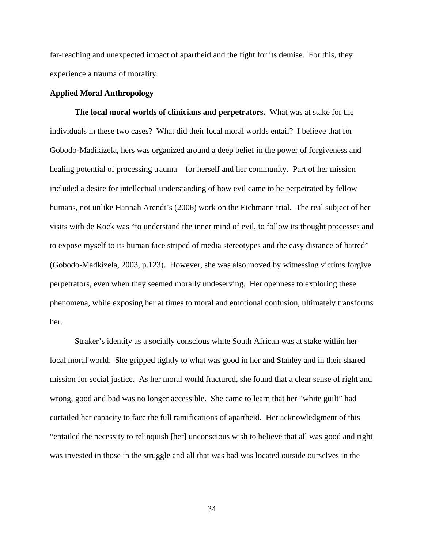far-reaching and unexpected impact of apartheid and the fight for its demise. For this, they experience a trauma of morality.

#### **Applied Moral Anthropology**

**The local moral worlds of clinicians and perpetrators.** What was at stake for the individuals in these two cases? What did their local moral worlds entail? I believe that for Gobodo-Madikizela, hers was organized around a deep belief in the power of forgiveness and healing potential of processing trauma—for herself and her community. Part of her mission included a desire for intellectual understanding of how evil came to be perpetrated by fellow humans, not unlike Hannah Arendt's (2006) work on the Eichmann trial. The real subject of her visits with de Kock was "to understand the inner mind of evil, to follow its thought processes and to expose myself to its human face striped of media stereotypes and the easy distance of hatred" (Gobodo-Madkizela, 2003, p.123). However, she was also moved by witnessing victims forgive perpetrators, even when they seemed morally undeserving. Her openness to exploring these phenomena, while exposing her at times to moral and emotional confusion, ultimately transforms her.

Straker's identity as a socially conscious white South African was at stake within her local moral world. She gripped tightly to what was good in her and Stanley and in their shared mission for social justice. As her moral world fractured, she found that a clear sense of right and wrong, good and bad was no longer accessible. She came to learn that her "white guilt" had curtailed her capacity to face the full ramifications of apartheid. Her acknowledgment of this "entailed the necessity to relinquish [her] unconscious wish to believe that all was good and right was invested in those in the struggle and all that was bad was located outside ourselves in the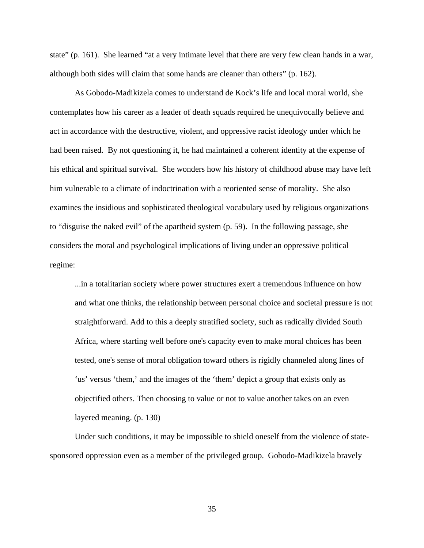state" (p. 161). She learned "at a very intimate level that there are very few clean hands in a war, although both sides will claim that some hands are cleaner than others" (p. 162).

As Gobodo-Madikizela comes to understand de Kock's life and local moral world, she contemplates how his career as a leader of death squads required he unequivocally believe and act in accordance with the destructive, violent, and oppressive racist ideology under which he had been raised. By not questioning it, he had maintained a coherent identity at the expense of his ethical and spiritual survival. She wonders how his history of childhood abuse may have left him vulnerable to a climate of indoctrination with a reoriented sense of morality. She also examines the insidious and sophisticated theological vocabulary used by religious organizations to "disguise the naked evil" of the apartheid system (p. 59). In the following passage, she considers the moral and psychological implications of living under an oppressive political regime:

...in a totalitarian society where power structures exert a tremendous influence on how and what one thinks, the relationship between personal choice and societal pressure is not straightforward. Add to this a deeply stratified society, such as radically divided South Africa, where starting well before one's capacity even to make moral choices has been tested, one's sense of moral obligation toward others is rigidly channeled along lines of 'us' versus 'them,' and the images of the 'them' depict a group that exists only as objectified others. Then choosing to value or not to value another takes on an even layered meaning. (p. 130)

Under such conditions, it may be impossible to shield oneself from the violence of statesponsored oppression even as a member of the privileged group. Gobodo-Madikizela bravely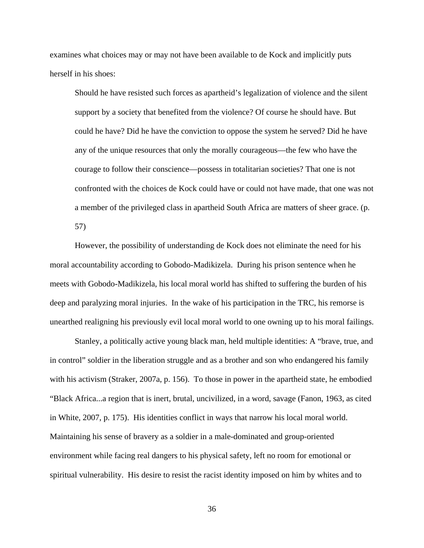examines what choices may or may not have been available to de Kock and implicitly puts herself in his shoes:

Should he have resisted such forces as apartheid's legalization of violence and the silent support by a society that benefited from the violence? Of course he should have. But could he have? Did he have the conviction to oppose the system he served? Did he have any of the unique resources that only the morally courageous—the few who have the courage to follow their conscience—possess in totalitarian societies? That one is not confronted with the choices de Kock could have or could not have made, that one was not a member of the privileged class in apartheid South Africa are matters of sheer grace. (p. 57)

However, the possibility of understanding de Kock does not eliminate the need for his moral accountability according to Gobodo-Madikizela. During his prison sentence when he meets with Gobodo-Madikizela, his local moral world has shifted to suffering the burden of his deep and paralyzing moral injuries. In the wake of his participation in the TRC, his remorse is unearthed realigning his previously evil local moral world to one owning up to his moral failings.

Stanley, a politically active young black man, held multiple identities: A "brave, true, and in control" soldier in the liberation struggle and as a brother and son who endangered his family with his activism (Straker, 2007a, p. 156). To those in power in the apartheid state, he embodied "Black Africa...a region that is inert, brutal, uncivilized, in a word, savage (Fanon, 1963, as cited in White, 2007, p. 175). His identities conflict in ways that narrow his local moral world. Maintaining his sense of bravery as a soldier in a male-dominated and group-oriented environment while facing real dangers to his physical safety, left no room for emotional or spiritual vulnerability. His desire to resist the racist identity imposed on him by whites and to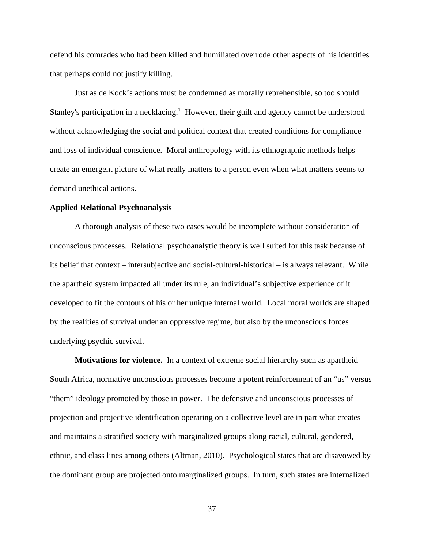defend his comrades who had been killed and humiliated overrode other aspects of his identities that perhaps could not justify killing.

Just as de Kock's actions must be condemned as morally reprehensible, so too should Stanley's participation in a necklacing.<sup>1</sup> However, their guilt and agency cannot be understood without acknowledging the social and political context that created conditions for compliance and loss of individual conscience. Moral anthropology with its ethnographic methods helps create an emergent picture of what really matters to a person even when what matters seems to demand unethical actions.

#### **Applied Relational Psychoanalysis**

A thorough analysis of these two cases would be incomplete without consideration of unconscious processes. Relational psychoanalytic theory is well suited for this task because of its belief that context – intersubjective and social-cultural-historical – is always relevant. While the apartheid system impacted all under its rule, an individual's subjective experience of it developed to fit the contours of his or her unique internal world. Local moral worlds are shaped by the realities of survival under an oppressive regime, but also by the unconscious forces underlying psychic survival.

 **Motivations for violence.** In a context of extreme social hierarchy such as apartheid South Africa, normative unconscious processes become a potent reinforcement of an "us" versus "them" ideology promoted by those in power. The defensive and unconscious processes of projection and projective identification operating on a collective level are in part what creates and maintains a stratified society with marginalized groups along racial, cultural, gendered, ethnic, and class lines among others (Altman, 2010). Psychological states that are disavowed by the dominant group are projected onto marginalized groups. In turn, such states are internalized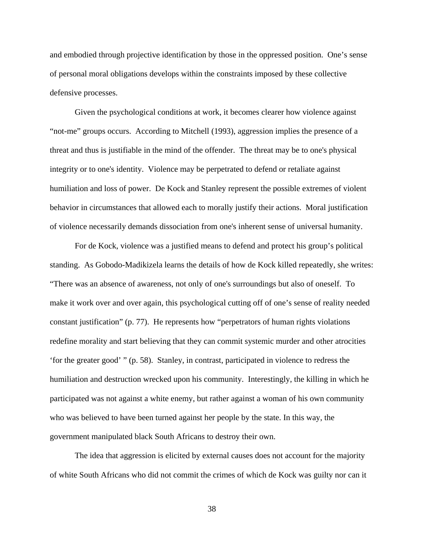and embodied through projective identification by those in the oppressed position. One's sense of personal moral obligations develops within the constraints imposed by these collective defensive processes.

Given the psychological conditions at work, it becomes clearer how violence against "not-me" groups occurs. According to Mitchell (1993), aggression implies the presence of a threat and thus is justifiable in the mind of the offender. The threat may be to one's physical integrity or to one's identity. Violence may be perpetrated to defend or retaliate against humiliation and loss of power. De Kock and Stanley represent the possible extremes of violent behavior in circumstances that allowed each to morally justify their actions. Moral justification of violence necessarily demands dissociation from one's inherent sense of universal humanity.

For de Kock, violence was a justified means to defend and protect his group's political standing. As Gobodo-Madikizela learns the details of how de Kock killed repeatedly, she writes: "There was an absence of awareness, not only of one's surroundings but also of oneself. To make it work over and over again, this psychological cutting off of one's sense of reality needed constant justification" (p. 77). He represents how "perpetrators of human rights violations redefine morality and start believing that they can commit systemic murder and other atrocities 'for the greater good' " (p. 58). Stanley, in contrast, participated in violence to redress the humiliation and destruction wrecked upon his community. Interestingly, the killing in which he participated was not against a white enemy, but rather against a woman of his own community who was believed to have been turned against her people by the state. In this way, the government manipulated black South Africans to destroy their own.

The idea that aggression is elicited by external causes does not account for the majority of white South Africans who did not commit the crimes of which de Kock was guilty nor can it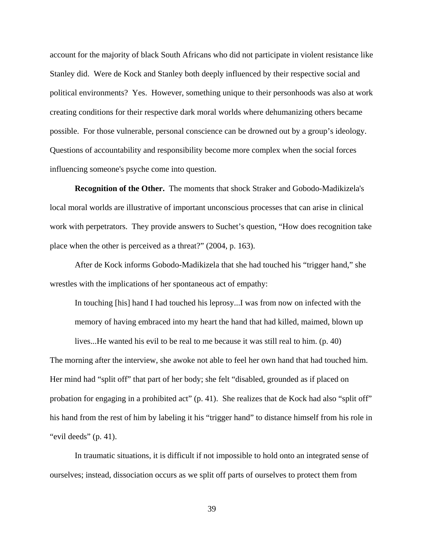account for the majority of black South Africans who did not participate in violent resistance like Stanley did. Were de Kock and Stanley both deeply influenced by their respective social and political environments? Yes. However, something unique to their personhoods was also at work creating conditions for their respective dark moral worlds where dehumanizing others became possible. For those vulnerable, personal conscience can be drowned out by a group's ideology. Questions of accountability and responsibility become more complex when the social forces influencing someone's psyche come into question.

**Recognition of the Other.** The moments that shock Straker and Gobodo-Madikizela's local moral worlds are illustrative of important unconscious processes that can arise in clinical work with perpetrators. They provide answers to Suchet's question, "How does recognition take place when the other is perceived as a threat?" (2004, p. 163).

After de Kock informs Gobodo-Madikizela that she had touched his "trigger hand," she wrestles with the implications of her spontaneous act of empathy:

In touching [his] hand I had touched his leprosy...I was from now on infected with the memory of having embraced into my heart the hand that had killed, maimed, blown up

lives...He wanted his evil to be real to me because it was still real to him. (p. 40) The morning after the interview, she awoke not able to feel her own hand that had touched him. Her mind had "split off" that part of her body; she felt "disabled, grounded as if placed on probation for engaging in a prohibited act" (p. 41). She realizes that de Kock had also "split off" his hand from the rest of him by labeling it his "trigger hand" to distance himself from his role in "evil deeds" (p. 41).

In traumatic situations, it is difficult if not impossible to hold onto an integrated sense of ourselves; instead, dissociation occurs as we split off parts of ourselves to protect them from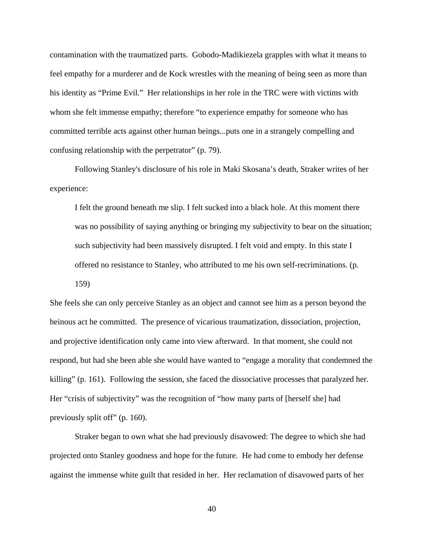contamination with the traumatized parts. Gobodo-Madikiezela grapples with what it means to feel empathy for a murderer and de Kock wrestles with the meaning of being seen as more than his identity as "Prime Evil." Her relationships in her role in the TRC were with victims with whom she felt immense empathy; therefore "to experience empathy for someone who has committed terrible acts against other human beings...puts one in a strangely compelling and confusing relationship with the perpetrator" (p. 79).

Following Stanley's disclosure of his role in Maki Skosana's death, Straker writes of her experience:

I felt the ground beneath me slip. I felt sucked into a black hole. At this moment there was no possibility of saying anything or bringing my subjectivity to bear on the situation; such subjectivity had been massively disrupted. I felt void and empty. In this state I offered no resistance to Stanley, who attributed to me his own self-recriminations. (p. 159)

She feels she can only perceive Stanley as an object and cannot see him as a person beyond the heinous act he committed. The presence of vicarious traumatization, dissociation, projection, and projective identification only came into view afterward. In that moment, she could not respond, but had she been able she would have wanted to "engage a morality that condemned the killing" (p. 161). Following the session, she faced the dissociative processes that paralyzed her. Her "crisis of subjectivity" was the recognition of "how many parts of [herself she] had previously split off" (p. 160).

Straker began to own what she had previously disavowed: The degree to which she had projected onto Stanley goodness and hope for the future. He had come to embody her defense against the immense white guilt that resided in her. Her reclamation of disavowed parts of her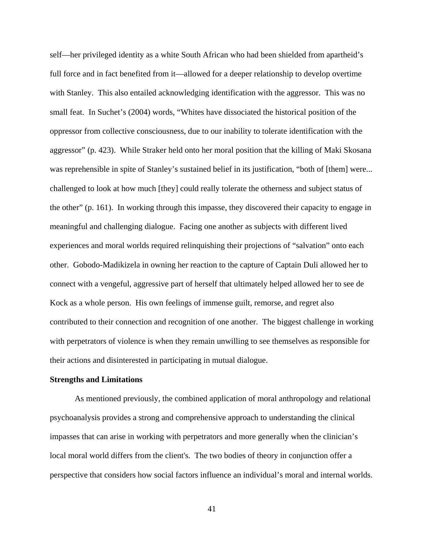self—her privileged identity as a white South African who had been shielded from apartheid's full force and in fact benefited from it—allowed for a deeper relationship to develop overtime with Stanley. This also entailed acknowledging identification with the aggressor. This was no small feat. In Suchet's (2004) words, "Whites have dissociated the historical position of the oppressor from collective consciousness, due to our inability to tolerate identification with the aggressor" (p. 423). While Straker held onto her moral position that the killing of Maki Skosana was reprehensible in spite of Stanley's sustained belief in its justification, "both of [them] were... challenged to look at how much [they] could really tolerate the otherness and subject status of the other" (p. 161). In working through this impasse, they discovered their capacity to engage in meaningful and challenging dialogue. Facing one another as subjects with different lived experiences and moral worlds required relinquishing their projections of "salvation" onto each other. Gobodo-Madikizela in owning her reaction to the capture of Captain Duli allowed her to connect with a vengeful, aggressive part of herself that ultimately helped allowed her to see de Kock as a whole person. His own feelings of immense guilt, remorse, and regret also contributed to their connection and recognition of one another. The biggest challenge in working with perpetrators of violence is when they remain unwilling to see themselves as responsible for their actions and disinterested in participating in mutual dialogue.

#### **Strengths and Limitations**

As mentioned previously, the combined application of moral anthropology and relational psychoanalysis provides a strong and comprehensive approach to understanding the clinical impasses that can arise in working with perpetrators and more generally when the clinician's local moral world differs from the client's. The two bodies of theory in conjunction offer a perspective that considers how social factors influence an individual's moral and internal worlds.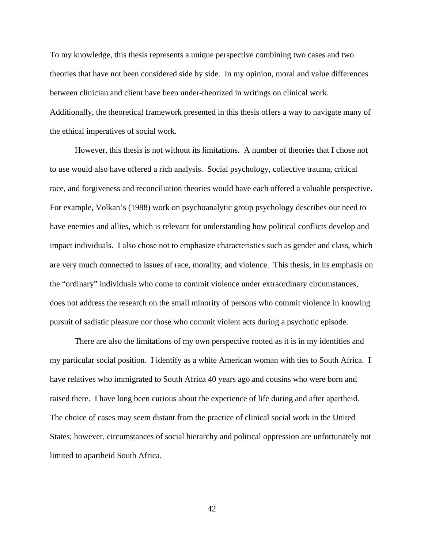To my knowledge, this thesis represents a unique perspective combining two cases and two theories that have not been considered side by side. In my opinion, moral and value differences between clinician and client have been under-theorized in writings on clinical work. Additionally, the theoretical framework presented in this thesis offers a way to navigate many of the ethical imperatives of social work.

However, this thesis is not without its limitations. A number of theories that I chose not to use would also have offered a rich analysis. Social psychology, collective trauma, critical race, and forgiveness and reconciliation theories would have each offered a valuable perspective. For example, Volkan's (1988) work on psychoanalytic group psychology describes our need to have enemies and allies, which is relevant for understanding how political conflicts develop and impact individuals. I also chose not to emphasize characteristics such as gender and class, which are very much connected to issues of race, morality, and violence. This thesis, in its emphasis on the "ordinary" individuals who come to commit violence under extraordinary circumstances, does not address the research on the small minority of persons who commit violence in knowing pursuit of sadistic pleasure nor those who commit violent acts during a psychotic episode.

There are also the limitations of my own perspective rooted as it is in my identities and my particular social position. I identify as a white American woman with ties to South Africa. I have relatives who immigrated to South Africa 40 years ago and cousins who were born and raised there. I have long been curious about the experience of life during and after apartheid. The choice of cases may seem distant from the practice of clinical social work in the United States; however, circumstances of social hierarchy and political oppression are unfortunately not limited to apartheid South Africa.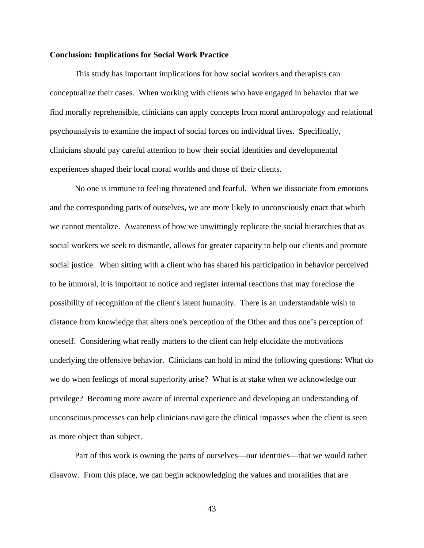#### **Conclusion: Implications for Social Work Practice**

This study has important implications for how social workers and therapists can conceptualize their cases. When working with clients who have engaged in behavior that we find morally reprehensible, clinicians can apply concepts from moral anthropology and relational psychoanalysis to examine the impact of social forces on individual lives. Specifically, clinicians should pay careful attention to how their social identities and developmental experiences shaped their local moral worlds and those of their clients.

No one is immune to feeling threatened and fearful. When we dissociate from emotions and the corresponding parts of ourselves, we are more likely to unconsciously enact that which we cannot mentalize. Awareness of how we unwittingly replicate the social hierarchies that as social workers we seek to dismantle, allows for greater capacity to help our clients and promote social justice. When sitting with a client who has shared his participation in behavior perceived to be immoral, it is important to notice and register internal reactions that may foreclose the possibility of recognition of the client's latent humanity. There is an understandable wish to distance from knowledge that alters one's perception of the Other and thus one's perception of oneself. Considering what really matters to the client can help elucidate the motivations underlying the offensive behavior. Clinicians can hold in mind the following questions: What do we do when feelings of moral superiority arise? What is at stake when we acknowledge our privilege? Becoming more aware of internal experience and developing an understanding of unconscious processes can help clinicians navigate the clinical impasses when the client is seen as more object than subject.

Part of this work is owning the parts of ourselves—our identities—that we would rather disavow. From this place, we can begin acknowledging the values and moralities that are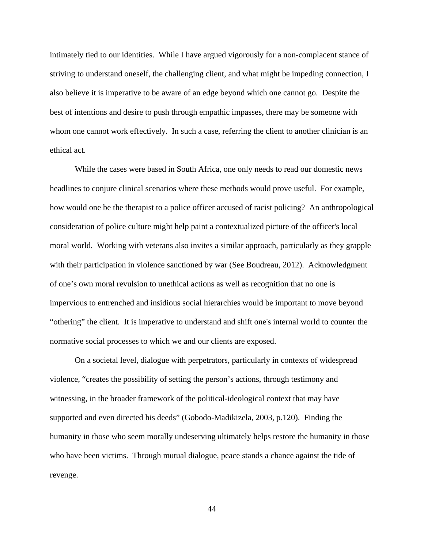intimately tied to our identities. While I have argued vigorously for a non-complacent stance of striving to understand oneself, the challenging client, and what might be impeding connection, I also believe it is imperative to be aware of an edge beyond which one cannot go. Despite the best of intentions and desire to push through empathic impasses, there may be someone with whom one cannot work effectively. In such a case, referring the client to another clinician is an ethical act.

While the cases were based in South Africa, one only needs to read our domestic news headlines to conjure clinical scenarios where these methods would prove useful. For example, how would one be the therapist to a police officer accused of racist policing? An anthropological consideration of police culture might help paint a contextualized picture of the officer's local moral world. Working with veterans also invites a similar approach, particularly as they grapple with their participation in violence sanctioned by war (See Boudreau, 2012). Acknowledgment of one's own moral revulsion to unethical actions as well as recognition that no one is impervious to entrenched and insidious social hierarchies would be important to move beyond "othering" the client. It is imperative to understand and shift one's internal world to counter the normative social processes to which we and our clients are exposed.

On a societal level, dialogue with perpetrators, particularly in contexts of widespread violence, "creates the possibility of setting the person's actions, through testimony and witnessing, in the broader framework of the political-ideological context that may have supported and even directed his deeds" (Gobodo-Madikizela, 2003, p.120). Finding the humanity in those who seem morally undeserving ultimately helps restore the humanity in those who have been victims. Through mutual dialogue, peace stands a chance against the tide of revenge.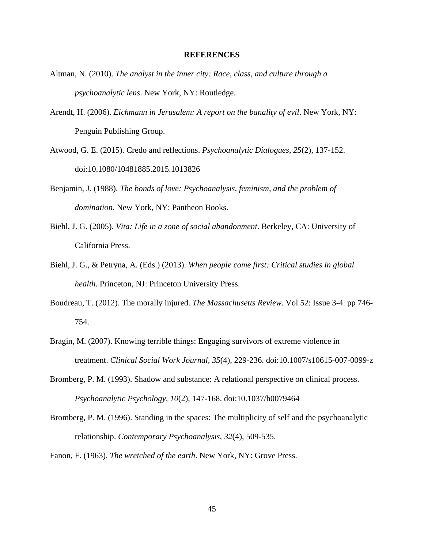#### **REFERENCES**

- Altman, N. (2010). *The analyst in the inner city: Race, class, and culture through a psychoanalytic lens*. New York, NY: Routledge.
- Arendt, H. (2006). *Eichmann in Jerusalem: A report on the banality of evil*. New York, NY: Penguin Publishing Group.
- Atwood, G. E. (2015). Credo and reflections. *Psychoanalytic Dialogues*, *25*(2), 137-152. doi:10.1080/10481885.2015.1013826
- Benjamin, J. (1988). *The bonds of love: Psychoanalysis, feminism, and the problem of domination*. New York, NY: Pantheon Books.
- Biehl, J. G. (2005). *Vita: Life in a zone of social abandonment*. Berkeley, CA: University of California Press.
- Biehl, J. G., & Petryna, A. (Eds.) (2013). *When people come first: Critical studies in global health*. Princeton, NJ: Princeton University Press.
- Boudreau, T. (2012). The morally injured. *The Massachusetts Review*. Vol 52: Issue 3-4. pp 746- 754.
- Bragin, M. (2007). Knowing terrible things: Engaging survivors of extreme violence in treatment. *Clinical Social Work Journal, 35*(4), 229-236. doi:10.1007/s10615-007-0099-z
- Bromberg, P. M. (1993). Shadow and substance: A relational perspective on clinical process. *Psychoanalytic Psychology, 10*(2), 147-168. doi:10.1037/h0079464
- Bromberg, P. M. (1996). Standing in the spaces: The multiplicity of self and the psychoanalytic relationship. *Contemporary Psychoanalysis, 32*(4), 509-535.
- Fanon, F. (1963). *The wretched of the earth*. New York, NY: Grove Press.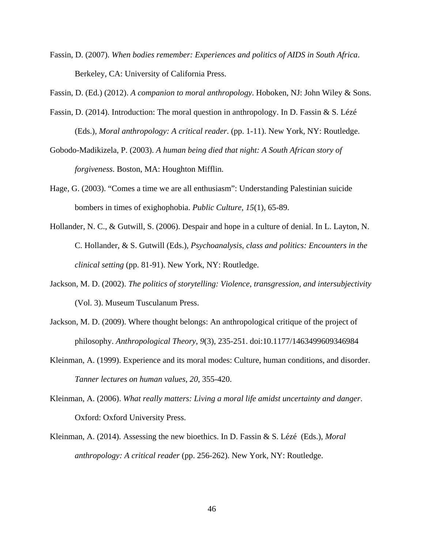Fassin, D. (2007). *When bodies remember: Experiences and politics of AIDS in South Africa*. Berkeley, CA: University of California Press.

Fassin, D. (Ed.) (2012). *A companion to moral anthropology*. Hoboken, NJ: John Wiley & Sons.

- Fassin, D. (2014). Introduction: The moral question in anthropology. In D. Fassin & S. Lézé (Eds.), *Moral anthropology: A critical reader*. (pp. 1-11). New York, NY: Routledge.
- Gobodo-Madikizela, P. (2003). *A human being died that night: A South African story of forgiveness*. Boston, MA: Houghton Mifflin.
- Hage, G. (2003). "Comes a time we are all enthusiasm": Understanding Palestinian suicide bombers in times of exighophobia. *Public Culture, 15*(1), 65-89.
- Hollander, N. C., & Gutwill, S. (2006). Despair and hope in a culture of denial. In L. Layton, N. C. Hollander, & S. Gutwill (Eds.), *Psychoanalysis, class and politics: Encounters in the clinical setting* (pp. 81-91). New York, NY: Routledge.
- Jackson, M. D. (2002). *The politics of storytelling: Violence, transgression, and intersubjectivity* (Vol. 3). Museum Tusculanum Press.
- Jackson, M. D. (2009). Where thought belongs: An anthropological critique of the project of philosophy. *Anthropological Theory, 9*(3), 235-251. doi:10.1177/1463499609346984
- Kleinman, A. (1999). Experience and its moral modes: Culture, human conditions, and disorder. *Tanner lectures on human values*, *20*, 355-420.
- Kleinman, A. (2006). *What really matters: Living a moral life amidst uncertainty and danger*. Oxford: Oxford University Press.
- Kleinman, A. (2014). Assessing the new bioethics. In D. Fassin & S. Lézé (Eds.), *Moral anthropology: A critical reader* (pp. 256-262). New York, NY: Routledge.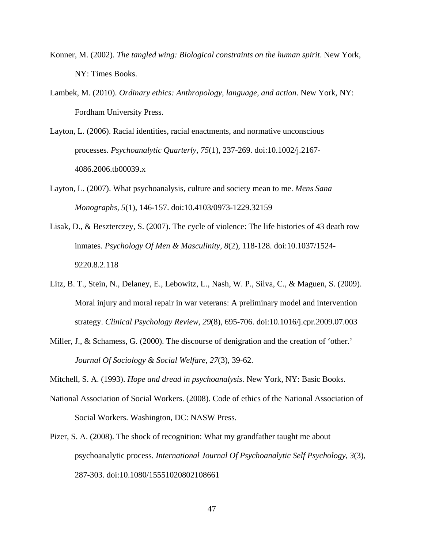- Konner, M. (2002). *The tangled wing: Biological constraints on the human spirit*. New York, NY: Times Books.
- Lambek, M. (2010). *Ordinary ethics: Anthropology, language, and action*. New York, NY: Fordham University Press.
- Layton, L. (2006). Racial identities, racial enactments, and normative unconscious processes. *Psychoanalytic Quarterly, 75*(1), 237-269. doi:10.1002/j.2167- 4086.2006.tb00039.x
- Layton, L. (2007). What psychoanalysis, culture and society mean to me. *Mens Sana Monographs, 5*(1), 146-157. doi:10.4103/0973-1229.32159
- Lisak, D., & Beszterczey, S. (2007). The cycle of violence: The life histories of 43 death row inmates. *Psychology Of Men & Masculinity, 8*(2), 118-128. doi:10.1037/1524- 9220.8.2.118
- Litz, B. T., Stein, N., Delaney, E., Lebowitz, L., Nash, W. P., Silva, C., & Maguen, S. (2009). Moral injury and moral repair in war veterans: A preliminary model and intervention strategy. *Clinical Psychology Review, 29*(8), 695-706. doi:10.1016/j.cpr.2009.07.003
- Miller, J., & Schamess, G. (2000). The discourse of denigration and the creation of 'other.' *Journal Of Sociology & Social Welfare, 27*(3), 39-62.

Mitchell, S. A. (1993). *Hope and dread in psychoanalysis*. New York, NY: Basic Books.

- National Association of Social Workers. (2008). Code of ethics of the National Association of Social Workers. Washington, DC: NASW Press.
- Pizer, S. A. (2008). The shock of recognition: What my grandfather taught me about psychoanalytic process. *International Journal Of Psychoanalytic Self Psychology, 3*(3), 287-303. doi:10.1080/15551020802108661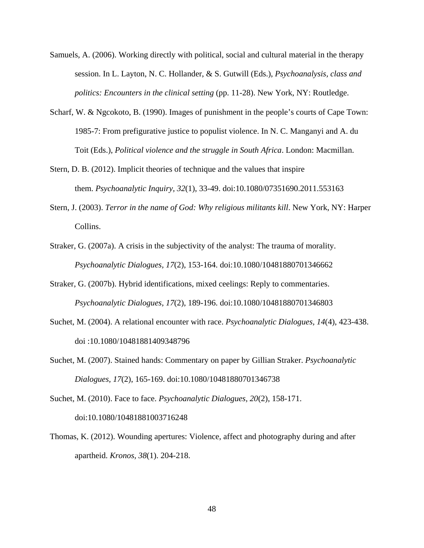- Samuels, A. (2006). Working directly with political, social and cultural material in the therapy session. In L. Layton, N. C. Hollander, & S. Gutwill (Eds.), *Psychoanalysis, class and politics: Encounters in the clinical setting* (pp. 11-28). New York, NY: Routledge.
- Scharf, W. & Ngcokoto, B. (1990). Images of punishment in the people's courts of Cape Town: 1985-7: From prefigurative justice to populist violence. In N. C. Manganyi and A. du Toit (Eds.), *Political violence and the struggle in South Africa*. London: Macmillan.
- Stern, D. B. (2012). Implicit theories of technique and the values that inspire them. *Psychoanalytic Inquiry, 32*(1), 33-49. doi:10.1080/07351690.2011.553163
- Stern, J. (2003). *Terror in the name of God: Why religious militants kill*. New York, NY: Harper Collins.
- Straker, G. (2007a). A crisis in the subjectivity of the analyst: The trauma of morality. *Psychoanalytic Dialogues, 17*(2), 153-164. doi:10.1080/10481880701346662
- Straker, G. (2007b). Hybrid identifications, mixed ceelings: Reply to commentaries. *Psychoanalytic Dialogues, 17*(2), 189-196. doi:10.1080/10481880701346803
- Suchet, M. (2004). A relational encounter with race. *Psychoanalytic Dialogues, 14*(4), 423-438. doi :10.1080/10481881409348796
- Suchet, M. (2007). Stained hands: Commentary on paper by Gillian Straker. *Psychoanalytic Dialogues, 17*(2), 165-169. doi:10.1080/10481880701346738

Suchet, M. (2010). Face to face. *Psychoanalytic Dialogues, 20*(2), 158-171. doi:10.1080/10481881003716248

Thomas, K. (2012). Wounding apertures: Violence, affect and photography during and after apartheid. *Kronos, 38*(1). 204-218.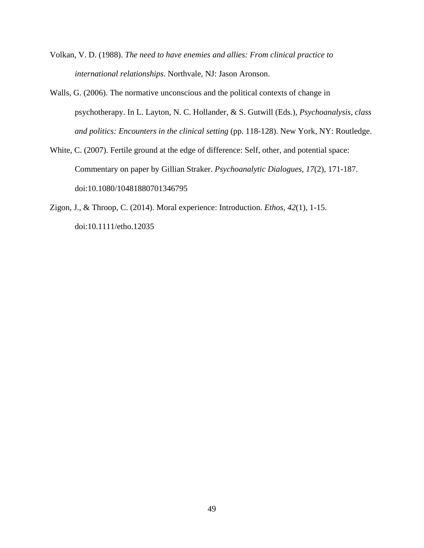- Volkan, V. D. (1988). *The need to have enemies and allies: From clinical practice to international relationships*. Northvale, NJ: Jason Aronson.
- Walls, G. (2006). The normative unconscious and the political contexts of change in psychotherapy. In L. Layton, N. C. Hollander, & S. Gutwill (Eds.), *Psychoanalysis, class and politics: Encounters in the clinical setting* (pp. 118-128). New York, NY: Routledge.
- White, C. (2007). Fertile ground at the edge of difference: Self, other, and potential space: Commentary on paper by Gillian Straker. *Psychoanalytic Dialogues, 17*(2), 171-187. doi:10.1080/10481880701346795
- Zigon, J., & Throop, C. (2014). Moral experience: Introduction. *Ethos, 42*(1), 1-15. doi:10.1111/etho.12035